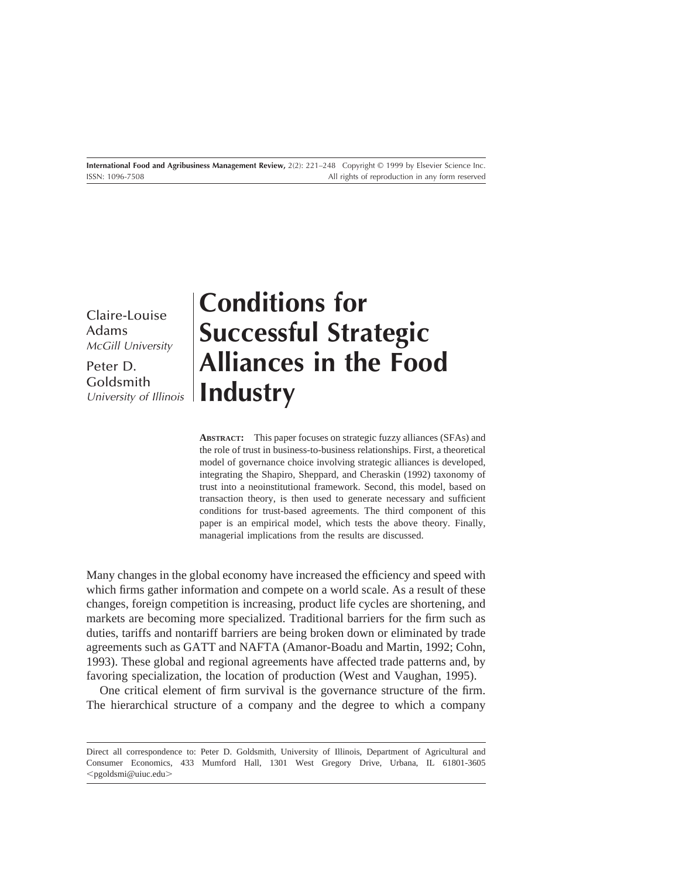Claire-Louise Adams McGill University

Peter D. University of Illinois

# **Conditions for Successful Strategic Alliances in the Food** Goldsmith<br><sub>University of Illinois</sub> | **Industry**

**ABSTRACT:** This paper focuses on strategic fuzzy alliances (SFAs) and the role of trust in business-to-business relationships. First, a theoretical model of governance choice involving strategic alliances is developed, integrating the Shapiro, Sheppard, and Cheraskin (1992) taxonomy of trust into a neoinstitutional framework. Second, this model, based on transaction theory, is then used to generate necessary and sufficient conditions for trust-based agreements. The third component of this paper is an empirical model, which tests the above theory. Finally, managerial implications from the results are discussed.

Many changes in the global economy have increased the efficiency and speed with which firms gather information and compete on a world scale. As a result of these changes, foreign competition is increasing, product life cycles are shortening, and markets are becoming more specialized. Traditional barriers for the firm such as duties, tariffs and nontariff barriers are being broken down or eliminated by trade agreements such as GATT and NAFTA (Amanor-Boadu and Martin, 1992; Cohn, 1993). These global and regional agreements have affected trade patterns and, by favoring specialization, the location of production (West and Vaughan, 1995).

One critical element of firm survival is the governance structure of the firm. The hierarchical structure of a company and the degree to which a company

Direct all correspondence to: Peter D. Goldsmith, University of Illinois, Department of Agricultural and Consumer Economics, 433 Mumford Hall, 1301 West Gregory Drive, Urbana, IL 61801-3605 ,pgoldsmi@uiuc.edu.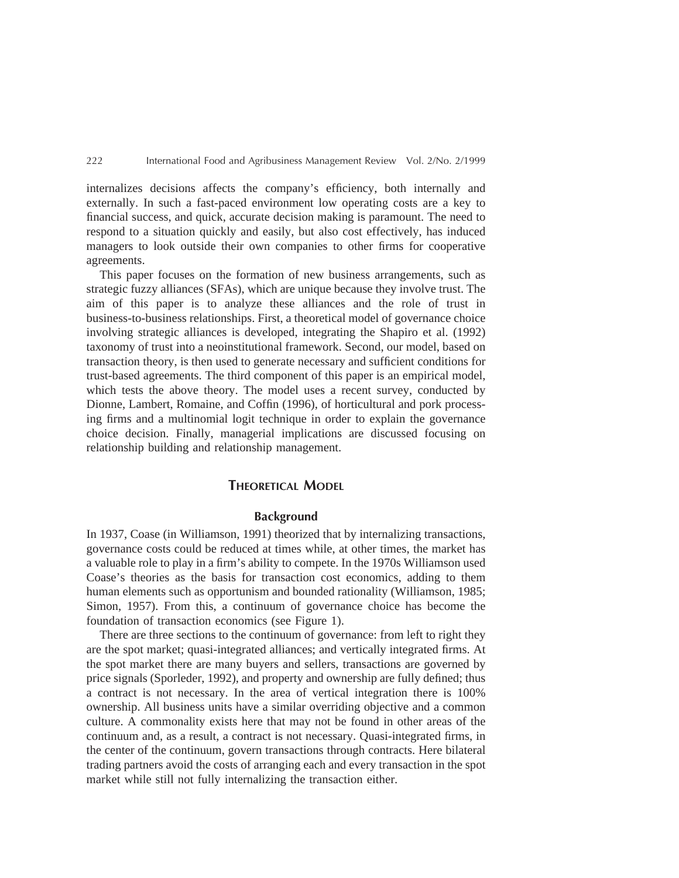internalizes decisions affects the company's efficiency, both internally and externally. In such a fast-paced environment low operating costs are a key to financial success, and quick, accurate decision making is paramount. The need to respond to a situation quickly and easily, but also cost effectively, has induced managers to look outside their own companies to other firms for cooperative agreements.

This paper focuses on the formation of new business arrangements, such as strategic fuzzy alliances (SFAs), which are unique because they involve trust. The aim of this paper is to analyze these alliances and the role of trust in business-to-business relationships. First, a theoretical model of governance choice involving strategic alliances is developed, integrating the Shapiro et al. (1992) taxonomy of trust into a neoinstitutional framework. Second, our model, based on transaction theory, is then used to generate necessary and sufficient conditions for trust-based agreements. The third component of this paper is an empirical model, which tests the above theory. The model uses a recent survey, conducted by Dionne, Lambert, Romaine, and Coffin (1996), of horticultural and pork processing firms and a multinomial logit technique in order to explain the governance choice decision. Finally, managerial implications are discussed focusing on relationship building and relationship management.

# **THEORETICAL MODEL**

# **Background**

In 1937, Coase (in Williamson, 1991) theorized that by internalizing transactions, governance costs could be reduced at times while, at other times, the market has a valuable role to play in a firm's ability to compete. In the 1970s Williamson used Coase's theories as the basis for transaction cost economics, adding to them human elements such as opportunism and bounded rationality (Williamson, 1985; Simon, 1957). From this, a continuum of governance choice has become the foundation of transaction economics (see Figure 1).

There are three sections to the continuum of governance: from left to right they are the spot market; quasi-integrated alliances; and vertically integrated firms. At the spot market there are many buyers and sellers, transactions are governed by price signals (Sporleder, 1992), and property and ownership are fully defined; thus a contract is not necessary. In the area of vertical integration there is 100% ownership. All business units have a similar overriding objective and a common culture. A commonality exists here that may not be found in other areas of the continuum and, as a result, a contract is not necessary. Quasi-integrated firms, in the center of the continuum, govern transactions through contracts. Here bilateral trading partners avoid the costs of arranging each and every transaction in the spot market while still not fully internalizing the transaction either.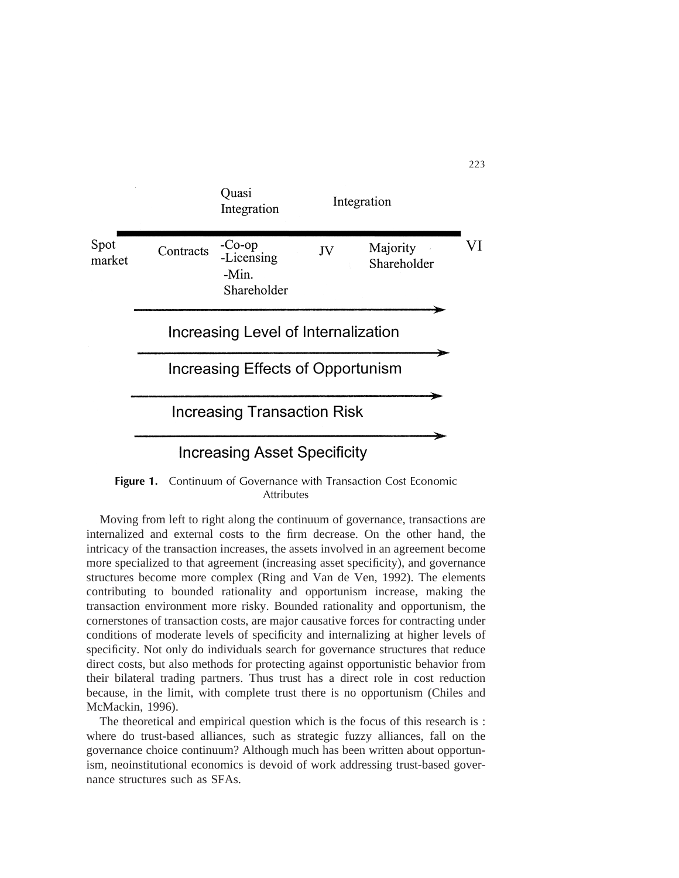

**Figure 1.** Continuum of Governance with Transaction Cost Economic **Attributes** 

Moving from left to right along the continuum of governance, transactions are internalized and external costs to the firm decrease. On the other hand, the intricacy of the transaction increases, the assets involved in an agreement become more specialized to that agreement (increasing asset specificity), and governance structures become more complex (Ring and Van de Ven, 1992). The elements contributing to bounded rationality and opportunism increase, making the transaction environment more risky. Bounded rationality and opportunism, the cornerstones of transaction costs, are major causative forces for contracting under conditions of moderate levels of specificity and internalizing at higher levels of specificity. Not only do individuals search for governance structures that reduce direct costs, but also methods for protecting against opportunistic behavior from their bilateral trading partners. Thus trust has a direct role in cost reduction because, in the limit, with complete trust there is no opportunism (Chiles and McMackin, 1996).

The theoretical and empirical question which is the focus of this research is : where do trust-based alliances, such as strategic fuzzy alliances, fall on the governance choice continuum? Although much has been written about opportunism, neoinstitutional economics is devoid of work addressing trust-based governance structures such as SFAs.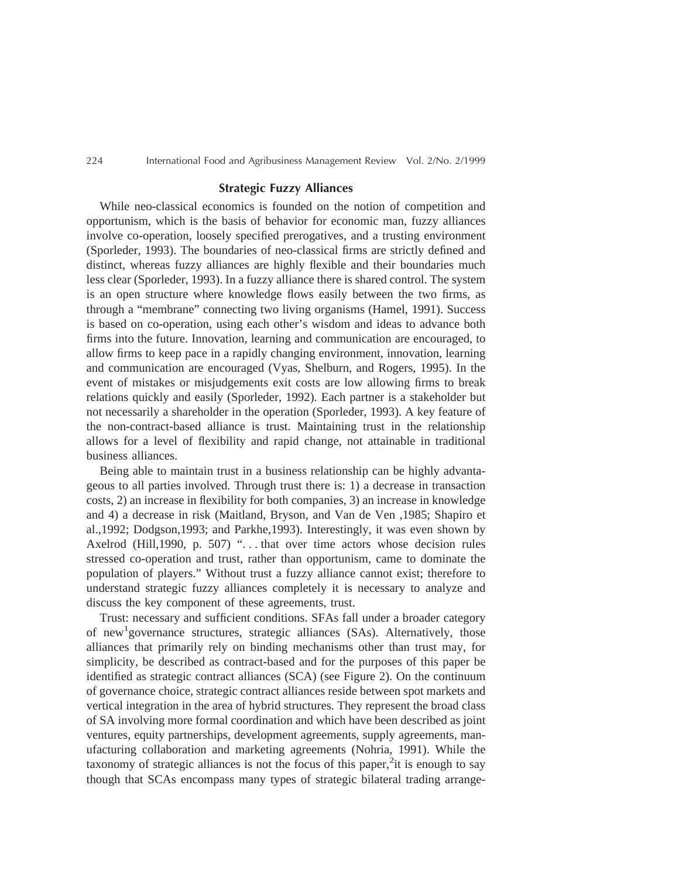# **Strategic Fuzzy Alliances**

While neo-classical economics is founded on the notion of competition and opportunism, which is the basis of behavior for economic man, fuzzy alliances involve co-operation, loosely specified prerogatives, and a trusting environment (Sporleder, 1993). The boundaries of neo-classical firms are strictly defined and distinct, whereas fuzzy alliances are highly flexible and their boundaries much less clear (Sporleder, 1993). In a fuzzy alliance there is shared control. The system is an open structure where knowledge flows easily between the two firms, as through a "membrane" connecting two living organisms (Hamel, 1991). Success is based on co-operation, using each other's wisdom and ideas to advance both firms into the future. Innovation, learning and communication are encouraged, to allow firms to keep pace in a rapidly changing environment, innovation, learning and communication are encouraged (Vyas, Shelburn, and Rogers, 1995). In the event of mistakes or misjudgements exit costs are low allowing firms to break relations quickly and easily (Sporleder, 1992). Each partner is a stakeholder but not necessarily a shareholder in the operation (Sporleder, 1993). A key feature of the non-contract-based alliance is trust. Maintaining trust in the relationship allows for a level of flexibility and rapid change, not attainable in traditional business alliances.

Being able to maintain trust in a business relationship can be highly advantageous to all parties involved. Through trust there is: 1) a decrease in transaction costs, 2) an increase in flexibility for both companies, 3) an increase in knowledge and 4) a decrease in risk (Maitland, Bryson, and Van de Ven ,1985; Shapiro et al.,1992; Dodgson,1993; and Parkhe,1993). Interestingly, it was even shown by Axelrod (Hill,1990, p. 507) "... that over time actors whose decision rules stressed co-operation and trust, rather than opportunism, came to dominate the population of players." Without trust a fuzzy alliance cannot exist; therefore to understand strategic fuzzy alliances completely it is necessary to analyze and discuss the key component of these agreements, trust.

Trust: necessary and sufficient conditions. SFAs fall under a broader category of new<sup>1</sup>governance structures, strategic alliances (SAs). Alternatively, those alliances that primarily rely on binding mechanisms other than trust may, for simplicity, be described as contract-based and for the purposes of this paper be identified as strategic contract alliances (SCA) (see Figure 2). On the continuum of governance choice, strategic contract alliances reside between spot markets and vertical integration in the area of hybrid structures. They represent the broad class of SA involving more formal coordination and which have been described as joint ventures, equity partnerships, development agreements, supply agreements, manufacturing collaboration and marketing agreements (Nohria, 1991). While the taxonomy of strategic alliances is not the focus of this paper,<sup>2</sup>it is enough to say though that SCAs encompass many types of strategic bilateral trading arrange-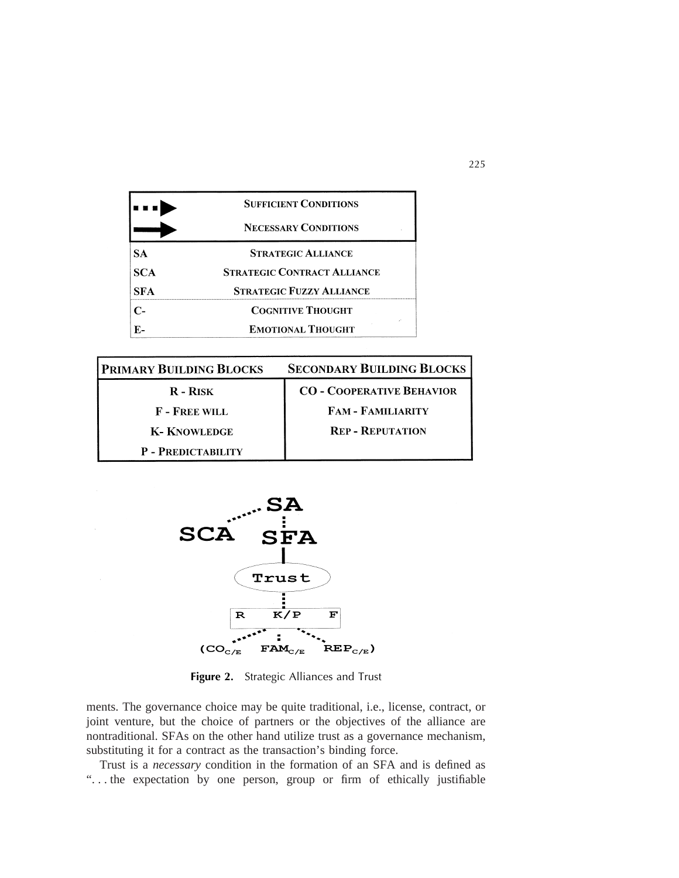|            | <b>SUFFICIENT CONDITIONS</b>       |  |  |
|------------|------------------------------------|--|--|
|            | <b>NECESSARY CONDITIONS</b>        |  |  |
| SА         | <b>STRATEGIC ALLIANCE</b>          |  |  |
| <b>SCA</b> | <b>STRATEGIC CONTRACT ALLIANCE</b> |  |  |
| <b>SFA</b> | <b>STRATEGIC FUZZY ALLIANCE</b>    |  |  |
|            | <b>COGNITIVE THOUGHT</b>           |  |  |
|            | <b>EMOTIONAL THOUGHT</b>           |  |  |

| PRIMARY BUILDING BLOCKS | <b>SECONDARY BUILDING BLOCKS</b> |  |  |
|-------------------------|----------------------------------|--|--|
| R - RISK                | <b>CO - COOPERATIVE BEHAVIOR</b> |  |  |
| <b>F</b> - FREE WILL    | <b>FAM-FAMILIARITY</b>           |  |  |
| <b>K- KNOWLEDGE</b>     | <b>REP - REPUTATION</b>          |  |  |
| P - PREDICTABILITY      |                                  |  |  |



Figure 2. Strategic Alliances and Trust

ments. The governance choice may be quite traditional, i.e., license, contract, or joint venture, but the choice of partners or the objectives of the alliance are nontraditional. SFAs on the other hand utilize trust as a governance mechanism, substituting it for a contract as the transaction's binding force.

Trust is a *necessary* condition in the formation of an SFA and is defined as ". . . the expectation by one person, group or firm of ethically justifiable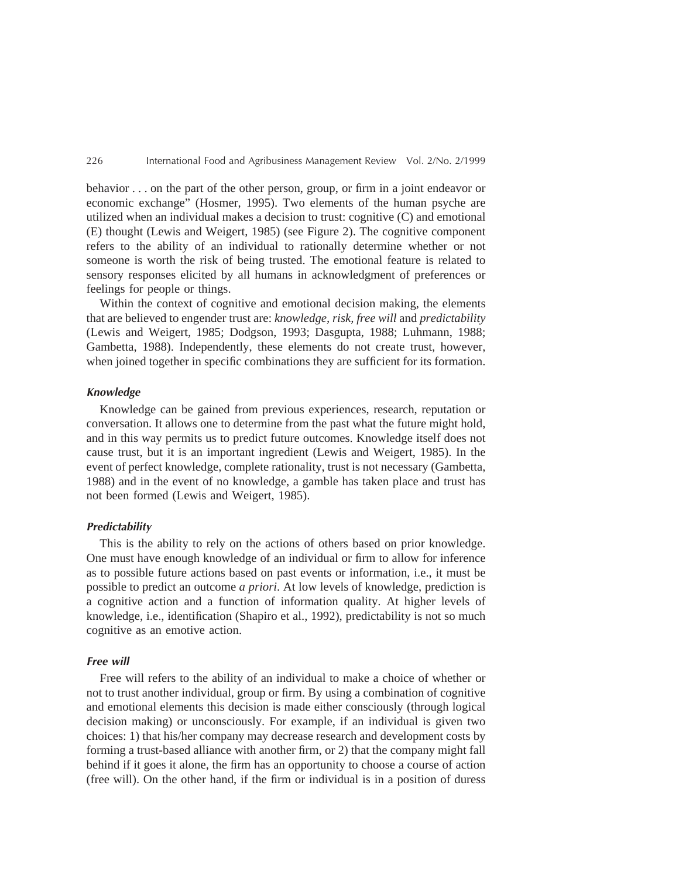behavior . . . on the part of the other person, group, or firm in a joint endeavor or economic exchange" (Hosmer, 1995). Two elements of the human psyche are utilized when an individual makes a decision to trust: cognitive (C) and emotional (E) thought (Lewis and Weigert, 1985) (see Figure 2). The cognitive component refers to the ability of an individual to rationally determine whether or not someone is worth the risk of being trusted. The emotional feature is related to sensory responses elicited by all humans in acknowledgment of preferences or feelings for people or things.

Within the context of cognitive and emotional decision making, the elements that are believed to engender trust are: *knowledge, risk, free will* and *predictability* (Lewis and Weigert, 1985; Dodgson, 1993; Dasgupta, 1988; Luhmann, 1988; Gambetta, 1988). Independently, these elements do not create trust, however, when joined together in specific combinations they are sufficient for its formation.

#### **Knowledge**

Knowledge can be gained from previous experiences, research, reputation or conversation. It allows one to determine from the past what the future might hold, and in this way permits us to predict future outcomes. Knowledge itself does not cause trust, but it is an important ingredient (Lewis and Weigert, 1985). In the event of perfect knowledge, complete rationality, trust is not necessary (Gambetta, 1988) and in the event of no knowledge, a gamble has taken place and trust has not been formed (Lewis and Weigert, 1985).

#### **Predictability**

This is the ability to rely on the actions of others based on prior knowledge. One must have enough knowledge of an individual or firm to allow for inference as to possible future actions based on past events or information, i.e., it must be possible to predict an outcome *a priori*. At low levels of knowledge, prediction is a cognitive action and a function of information quality. At higher levels of knowledge, i.e., identification (Shapiro et al., 1992), predictability is not so much cognitive as an emotive action.

# **Free will**

Free will refers to the ability of an individual to make a choice of whether or not to trust another individual, group or firm. By using a combination of cognitive and emotional elements this decision is made either consciously (through logical decision making) or unconsciously. For example, if an individual is given two choices: 1) that his/her company may decrease research and development costs by forming a trust-based alliance with another firm, or 2) that the company might fall behind if it goes it alone, the firm has an opportunity to choose a course of action (free will). On the other hand, if the firm or individual is in a position of duress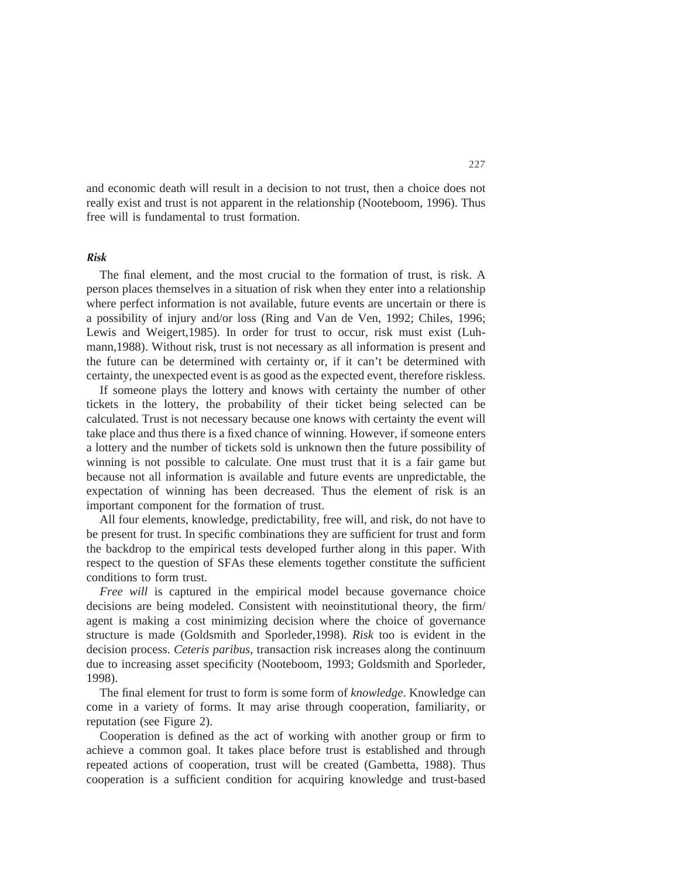and economic death will result in a decision to not trust, then a choice does not really exist and trust is not apparent in the relationship (Nooteboom, 1996). Thus free will is fundamental to trust formation.

# **Risk**

The final element, and the most crucial to the formation of trust, is risk. A person places themselves in a situation of risk when they enter into a relationship where perfect information is not available, future events are uncertain or there is a possibility of injury and/or loss (Ring and Van de Ven, 1992; Chiles, 1996; Lewis and Weigert,1985). In order for trust to occur, risk must exist (Luhmann,1988). Without risk, trust is not necessary as all information is present and the future can be determined with certainty or, if it can't be determined with certainty, the unexpected event is as good as the expected event, therefore riskless.

If someone plays the lottery and knows with certainty the number of other tickets in the lottery, the probability of their ticket being selected can be calculated. Trust is not necessary because one knows with certainty the event will take place and thus there is a fixed chance of winning. However, if someone enters a lottery and the number of tickets sold is unknown then the future possibility of winning is not possible to calculate. One must trust that it is a fair game but because not all information is available and future events are unpredictable, the expectation of winning has been decreased. Thus the element of risk is an important component for the formation of trust.

All four elements, knowledge, predictability, free will, and risk, do not have to be present for trust. In specific combinations they are sufficient for trust and form the backdrop to the empirical tests developed further along in this paper. With respect to the question of SFAs these elements together constitute the sufficient conditions to form trust.

*Free will* is captured in the empirical model because governance choice decisions are being modeled. Consistent with neoinstitutional theory, the firm/ agent is making a cost minimizing decision where the choice of governance structure is made (Goldsmith and Sporleder,1998). *Risk* too is evident in the decision process. *Ceteris paribus*, transaction risk increases along the continuum due to increasing asset specificity (Nooteboom, 1993; Goldsmith and Sporleder, 1998).

The final element for trust to form is some form of *knowledge*. Knowledge can come in a variety of forms. It may arise through cooperation, familiarity, or reputation (see Figure 2).

Cooperation is defined as the act of working with another group or firm to achieve a common goal. It takes place before trust is established and through repeated actions of cooperation, trust will be created (Gambetta, 1988). Thus cooperation is a sufficient condition for acquiring knowledge and trust-based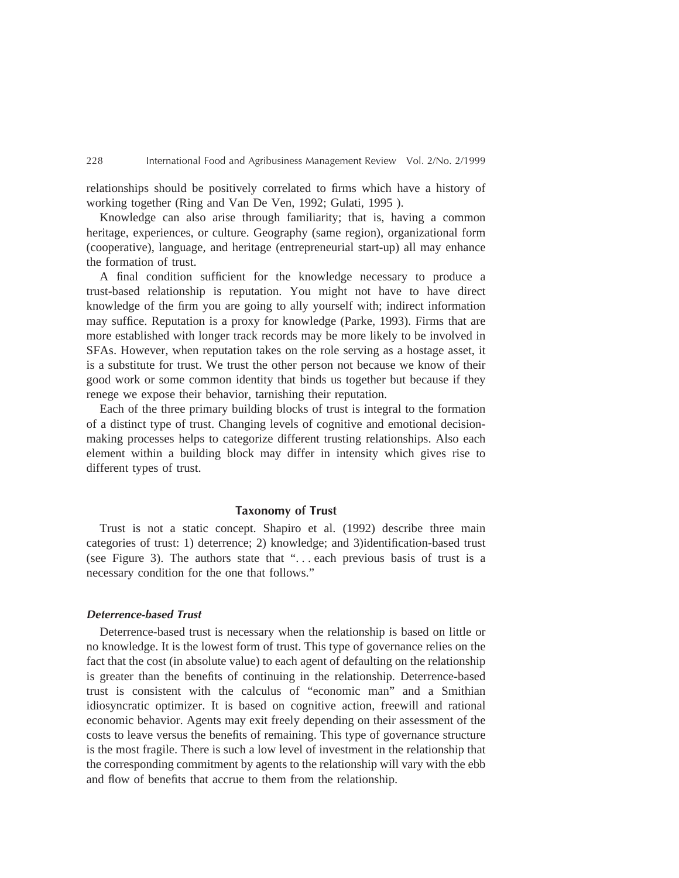relationships should be positively correlated to firms which have a history of working together (Ring and Van De Ven, 1992; Gulati, 1995 ).

Knowledge can also arise through familiarity; that is, having a common heritage, experiences, or culture. Geography (same region), organizational form (cooperative), language, and heritage (entrepreneurial start-up) all may enhance the formation of trust.

A final condition sufficient for the knowledge necessary to produce a trust-based relationship is reputation. You might not have to have direct knowledge of the firm you are going to ally yourself with; indirect information may suffice. Reputation is a proxy for knowledge (Parke, 1993). Firms that are more established with longer track records may be more likely to be involved in SFAs. However, when reputation takes on the role serving as a hostage asset, it is a substitute for trust. We trust the other person not because we know of their good work or some common identity that binds us together but because if they renege we expose their behavior, tarnishing their reputation.

Each of the three primary building blocks of trust is integral to the formation of a distinct type of trust. Changing levels of cognitive and emotional decisionmaking processes helps to categorize different trusting relationships. Also each element within a building block may differ in intensity which gives rise to different types of trust.

# **Taxonomy of Trust**

Trust is not a static concept. Shapiro et al. (1992) describe three main categories of trust: 1) deterrence; 2) knowledge; and 3)identification-based trust (see Figure 3). The authors state that ". . . each previous basis of trust is a necessary condition for the one that follows."

#### **Deterrence-based Trust**

Deterrence-based trust is necessary when the relationship is based on little or no knowledge. It is the lowest form of trust. This type of governance relies on the fact that the cost (in absolute value) to each agent of defaulting on the relationship is greater than the benefits of continuing in the relationship. Deterrence-based trust is consistent with the calculus of "economic man" and a Smithian idiosyncratic optimizer. It is based on cognitive action, freewill and rational economic behavior. Agents may exit freely depending on their assessment of the costs to leave versus the benefits of remaining. This type of governance structure is the most fragile. There is such a low level of investment in the relationship that the corresponding commitment by agents to the relationship will vary with the ebb and flow of benefits that accrue to them from the relationship.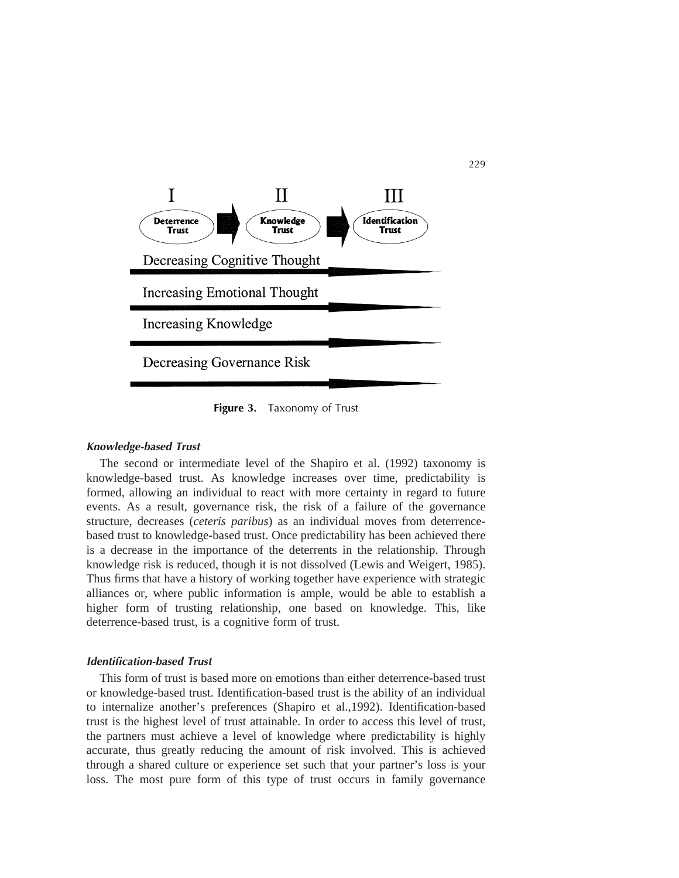

**Figure 3.** Taxonomy of Trust

# **Knowledge-based Trust**

The second or intermediate level of the Shapiro et al. (1992) taxonomy is knowledge-based trust. As knowledge increases over time, predictability is formed, allowing an individual to react with more certainty in regard to future events. As a result, governance risk, the risk of a failure of the governance structure, decreases (*ceteris paribus*) as an individual moves from deterrencebased trust to knowledge-based trust. Once predictability has been achieved there is a decrease in the importance of the deterrents in the relationship. Through knowledge risk is reduced, though it is not dissolved (Lewis and Weigert, 1985). Thus firms that have a history of working together have experience with strategic alliances or, where public information is ample, would be able to establish a higher form of trusting relationship, one based on knowledge. This, like deterrence-based trust, is a cognitive form of trust.

# **Identification-based Trust**

This form of trust is based more on emotions than either deterrence-based trust or knowledge-based trust. Identification-based trust is the ability of an individual to internalize another's preferences (Shapiro et al.,1992). Identification-based trust is the highest level of trust attainable. In order to access this level of trust, the partners must achieve a level of knowledge where predictability is highly accurate, thus greatly reducing the amount of risk involved. This is achieved through a shared culture or experience set such that your partner's loss is your loss. The most pure form of this type of trust occurs in family governance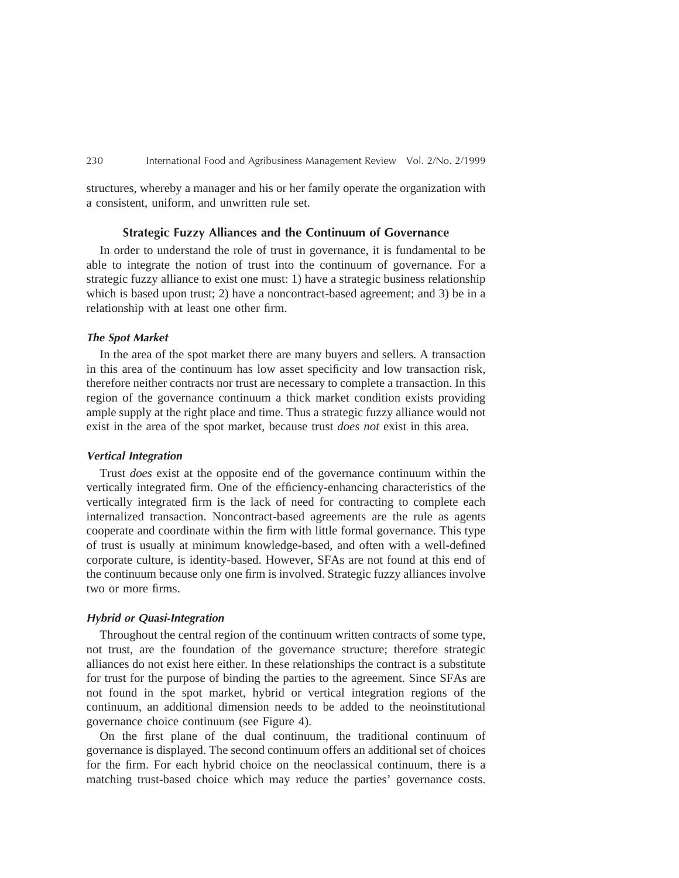#### 230 International Food and Agribusiness Management Review Vol. 2/No. 2/1999

structures, whereby a manager and his or her family operate the organization with a consistent, uniform, and unwritten rule set.

# **Strategic Fuzzy Alliances and the Continuum of Governance**

In order to understand the role of trust in governance, it is fundamental to be able to integrate the notion of trust into the continuum of governance. For a strategic fuzzy alliance to exist one must: 1) have a strategic business relationship which is based upon trust; 2) have a noncontract-based agreement; and 3) be in a relationship with at least one other firm.

#### **The Spot Market**

In the area of the spot market there are many buyers and sellers. A transaction in this area of the continuum has low asset specificity and low transaction risk, therefore neither contracts nor trust are necessary to complete a transaction. In this region of the governance continuum a thick market condition exists providing ample supply at the right place and time. Thus a strategic fuzzy alliance would not exist in the area of the spot market, because trust *does not* exist in this area.

#### **Vertical Integration**

Trust *does* exist at the opposite end of the governance continuum within the vertically integrated firm. One of the efficiency-enhancing characteristics of the vertically integrated firm is the lack of need for contracting to complete each internalized transaction. Noncontract-based agreements are the rule as agents cooperate and coordinate within the firm with little formal governance. This type of trust is usually at minimum knowledge-based, and often with a well-defined corporate culture, is identity-based. However, SFAs are not found at this end of the continuum because only one firm is involved. Strategic fuzzy alliances involve two or more firms.

#### **Hybrid or Quasi-Integration**

Throughout the central region of the continuum written contracts of some type, not trust, are the foundation of the governance structure; therefore strategic alliances do not exist here either. In these relationships the contract is a substitute for trust for the purpose of binding the parties to the agreement. Since SFAs are not found in the spot market, hybrid or vertical integration regions of the continuum, an additional dimension needs to be added to the neoinstitutional governance choice continuum (see Figure 4).

On the first plane of the dual continuum, the traditional continuum of governance is displayed. The second continuum offers an additional set of choices for the firm. For each hybrid choice on the neoclassical continuum, there is a matching trust-based choice which may reduce the parties' governance costs.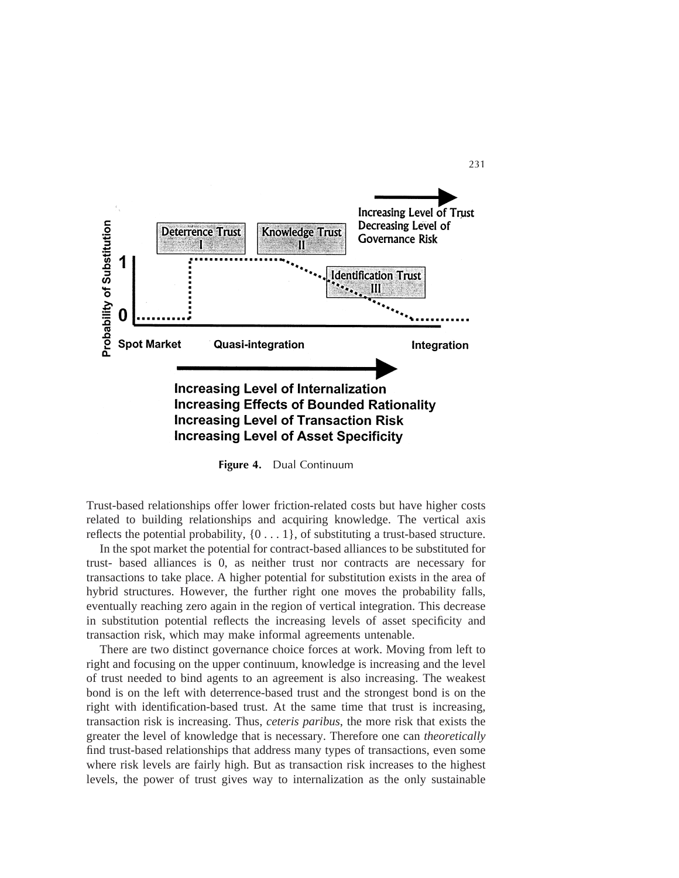

**Figure 4.** Dual Continuum

Trust-based relationships offer lower friction-related costs but have higher costs related to building relationships and acquiring knowledge. The vertical axis reflects the potential probability,  $\{0 \dots 1\}$ , of substituting a trust-based structure.

In the spot market the potential for contract-based alliances to be substituted for trust- based alliances is 0, as neither trust nor contracts are necessary for transactions to take place. A higher potential for substitution exists in the area of hybrid structures. However, the further right one moves the probability falls, eventually reaching zero again in the region of vertical integration. This decrease in substitution potential reflects the increasing levels of asset specificity and transaction risk, which may make informal agreements untenable.

There are two distinct governance choice forces at work. Moving from left to right and focusing on the upper continuum, knowledge is increasing and the level of trust needed to bind agents to an agreement is also increasing. The weakest bond is on the left with deterrence-based trust and the strongest bond is on the right with identification-based trust. At the same time that trust is increasing, transaction risk is increasing. Thus, *ceteris paribus*, the more risk that exists the greater the level of knowledge that is necessary. Therefore one can *theoretically* find trust-based relationships that address many types of transactions, even some where risk levels are fairly high. But as transaction risk increases to the highest levels, the power of trust gives way to internalization as the only sustainable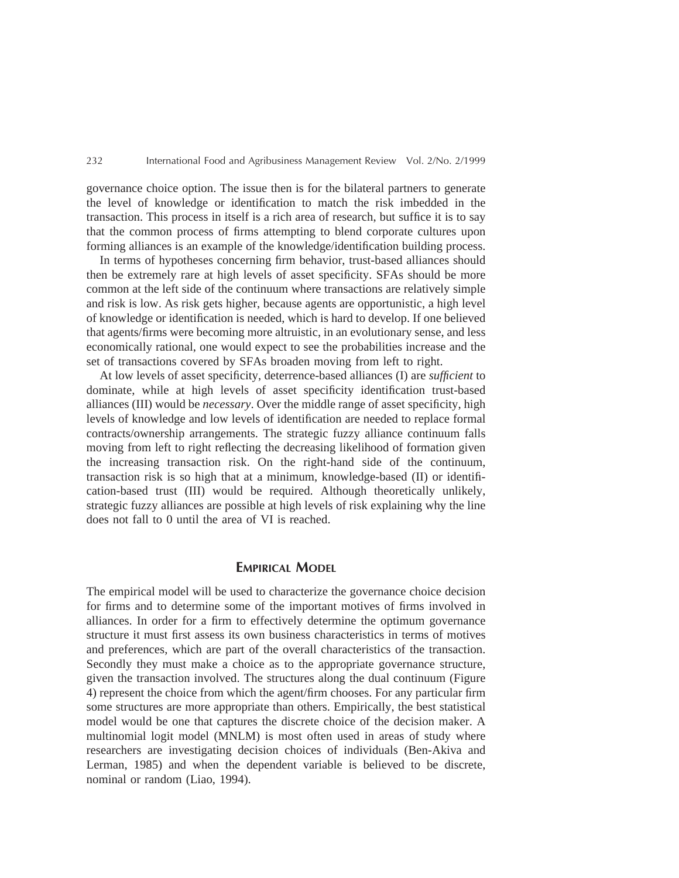governance choice option. The issue then is for the bilateral partners to generate the level of knowledge or identification to match the risk imbedded in the transaction. This process in itself is a rich area of research, but suffice it is to say that the common process of firms attempting to blend corporate cultures upon forming alliances is an example of the knowledge/identification building process.

In terms of hypotheses concerning firm behavior, trust-based alliances should then be extremely rare at high levels of asset specificity. SFAs should be more common at the left side of the continuum where transactions are relatively simple and risk is low. As risk gets higher, because agents are opportunistic, a high level of knowledge or identification is needed, which is hard to develop. If one believed that agents/firms were becoming more altruistic, in an evolutionary sense, and less economically rational, one would expect to see the probabilities increase and the set of transactions covered by SFAs broaden moving from left to right.

At low levels of asset specificity, deterrence-based alliances (I) are *sufficient* to dominate, while at high levels of asset specificity identification trust-based alliances (III) would be *necessary*. Over the middle range of asset specificity, high levels of knowledge and low levels of identification are needed to replace formal contracts/ownership arrangements. The strategic fuzzy alliance continuum falls moving from left to right reflecting the decreasing likelihood of formation given the increasing transaction risk. On the right-hand side of the continuum, transaction risk is so high that at a minimum, knowledge-based (II) or identification-based trust (III) would be required. Although theoretically unlikely, strategic fuzzy alliances are possible at high levels of risk explaining why the line does not fall to 0 until the area of VI is reached.

# **EMPIRICAL MODEL**

The empirical model will be used to characterize the governance choice decision for firms and to determine some of the important motives of firms involved in alliances. In order for a firm to effectively determine the optimum governance structure it must first assess its own business characteristics in terms of motives and preferences, which are part of the overall characteristics of the transaction. Secondly they must make a choice as to the appropriate governance structure, given the transaction involved. The structures along the dual continuum (Figure 4) represent the choice from which the agent/firm chooses. For any particular firm some structures are more appropriate than others. Empirically, the best statistical model would be one that captures the discrete choice of the decision maker. A multinomial logit model (MNLM) is most often used in areas of study where researchers are investigating decision choices of individuals (Ben-Akiva and Lerman, 1985) and when the dependent variable is believed to be discrete, nominal or random (Liao, 1994).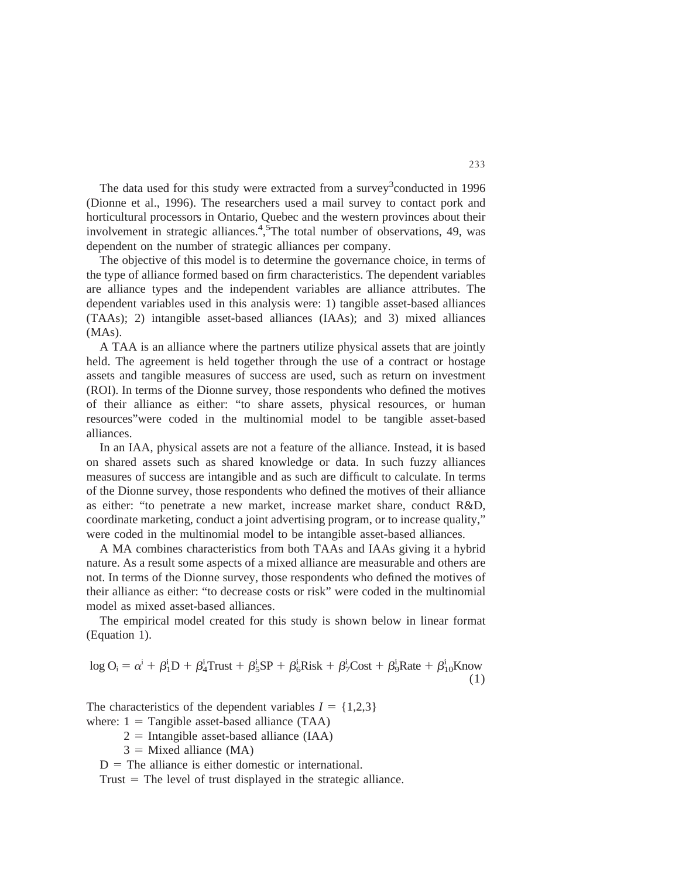The data used for this study were extracted from a survey<sup>3</sup> conducted in 1996 (Dionne et al., 1996). The researchers used a mail survey to contact pork and horticultural processors in Ontario, Quebec and the western provinces about their involvement in strategic alliances.<sup>4</sup>,<sup> $\bar{5}$ </sup>The total number of observations, 49, was dependent on the number of strategic alliances per company.

The objective of this model is to determine the governance choice, in terms of the type of alliance formed based on firm characteristics. The dependent variables are alliance types and the independent variables are alliance attributes. The dependent variables used in this analysis were: 1) tangible asset-based alliances (TAAs); 2) intangible asset-based alliances (IAAs); and 3) mixed alliances (MAs).

A TAA is an alliance where the partners utilize physical assets that are jointly held. The agreement is held together through the use of a contract or hostage assets and tangible measures of success are used, such as return on investment (ROI). In terms of the Dionne survey, those respondents who defined the motives of their alliance as either: "to share assets, physical resources, or human resources"were coded in the multinomial model to be tangible asset-based alliances.

In an IAA, physical assets are not a feature of the alliance. Instead, it is based on shared assets such as shared knowledge or data. In such fuzzy alliances measures of success are intangible and as such are difficult to calculate. In terms of the Dionne survey, those respondents who defined the motives of their alliance as either: "to penetrate a new market, increase market share, conduct R&D, coordinate marketing, conduct a joint advertising program, or to increase quality," were coded in the multinomial model to be intangible asset-based alliances.

A MA combines characteristics from both TAAs and IAAs giving it a hybrid nature. As a result some aspects of a mixed alliance are measurable and others are not. In terms of the Dionne survey, those respondents who defined the motives of their alliance as either: "to decrease costs or risk" were coded in the multinomial model as mixed asset-based alliances.

The empirical model created for this study is shown below in linear format (Equation 1).

$$
\log O_i = \alpha^i + \beta_1^i D + \beta_4^i \text{Trust} + \beta_5^i SP + \beta_6^i \text{Risk} + \beta_7^i \text{Cost} + \beta_9^i \text{Rate} + \beta_{10}^i \text{Know} \tag{1}
$$

The characteristics of the dependent variables  $I = \{1,2,3\}$ 

where:  $1 =$  Tangible asset-based alliance (TAA)

 $2 =$  Intangible asset-based alliance (IAA)

 $3 =$  Mixed alliance (MA)

 $D =$  The alliance is either domestic or international.

Trust  $=$  The level of trust displayed in the strategic alliance.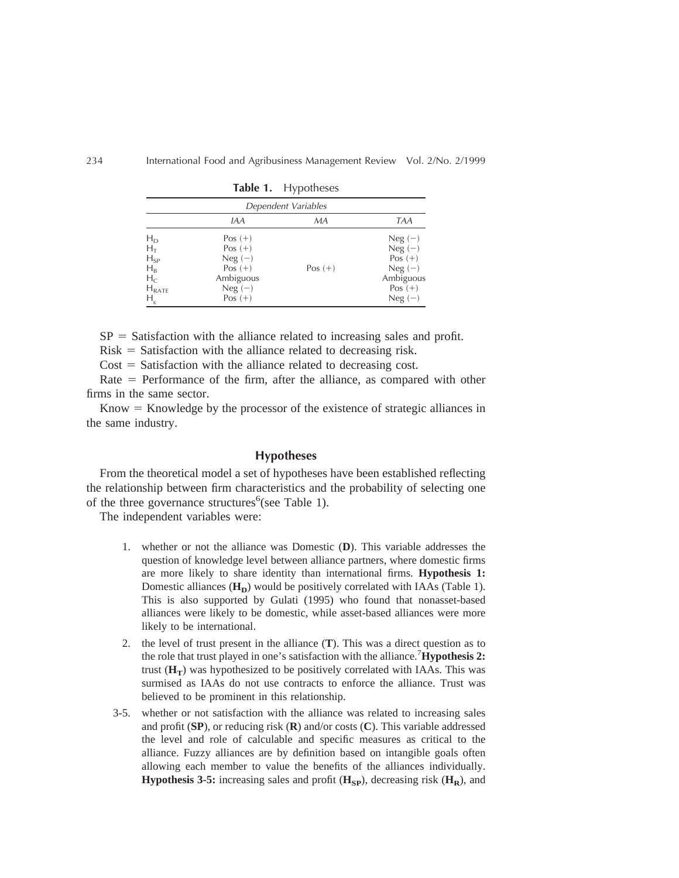|                                                                                   | Dependent Variables                                                                   |           |                                                                                     |
|-----------------------------------------------------------------------------------|---------------------------------------------------------------------------------------|-----------|-------------------------------------------------------------------------------------|
|                                                                                   | IAA                                                                                   | МA        | TAA                                                                                 |
| $H_D$<br>$H_T$<br>$H_{SP}$<br>$H_B$<br>$H_C$<br>$H_{\text{RATE}}$<br>$H_{\kappa}$ | Pos $(+)$<br>Pos $(+)$<br>$Neg(-)$<br>Pos $(+)$<br>Ambiguous<br>$Neg(-)$<br>Pos $(+)$ | Pos $(+)$ | $Neg(-)$<br>$Neg(-)$<br>Pos $(+)$<br>$Neg(-)$<br>Ambiguous<br>Pos $(+)$<br>$Neg(-)$ |

**Table 1.** Hypotheses

 $SP = S$ atisfaction with the alliance related to increasing sales and profit.

 $Risk = S \cdot A$  satisfaction with the alliance related to decreasing risk.

 $Cost = S \cdot S \cdot S$  Satisfaction with the alliance related to decreasing cost.

Rate  $=$  Performance of the firm, after the alliance, as compared with other firms in the same sector.

 $Know = Knowledge by the processor of the existence of strategic alliances in$ the same industry.

# **Hypotheses**

From the theoretical model a set of hypotheses have been established reflecting the relationship between firm characteristics and the probability of selecting one of the three governance structures  $6$ (see Table 1).

The independent variables were:

- 1. whether or not the alliance was Domestic (**D**). This variable addresses the question of knowledge level between alliance partners, where domestic firms are more likely to share identity than international firms. **Hypothesis 1:** Domestic alliances  $(\mathbf{H_D})$  would be positively correlated with IAAs (Table 1). This is also supported by Gulati (1995) who found that nonasset-based alliances were likely to be domestic, while asset-based alliances were more likely to be international.
- 2. the level of trust present in the alliance (**T**). This was a direct question as to the role that trust played in one's satisfaction with the alliance.7 **Hypothesis 2:** trust  $(\mathbf{H}_T)$  was hypothesized to be positively correlated with IAAs. This was surmised as IAAs do not use contracts to enforce the alliance. Trust was believed to be prominent in this relationship.
- 3-5. whether or not satisfaction with the alliance was related to increasing sales and profit (**SP**), or reducing risk (**R**) and/or costs (**C**). This variable addressed the level and role of calculable and specific measures as critical to the alliance. Fuzzy alliances are by definition based on intangible goals often allowing each member to value the benefits of the alliances individually. **Hypothesis 3-5:** increasing sales and profit  $(H_{SP})$ , decreasing risk  $(H_R)$ , and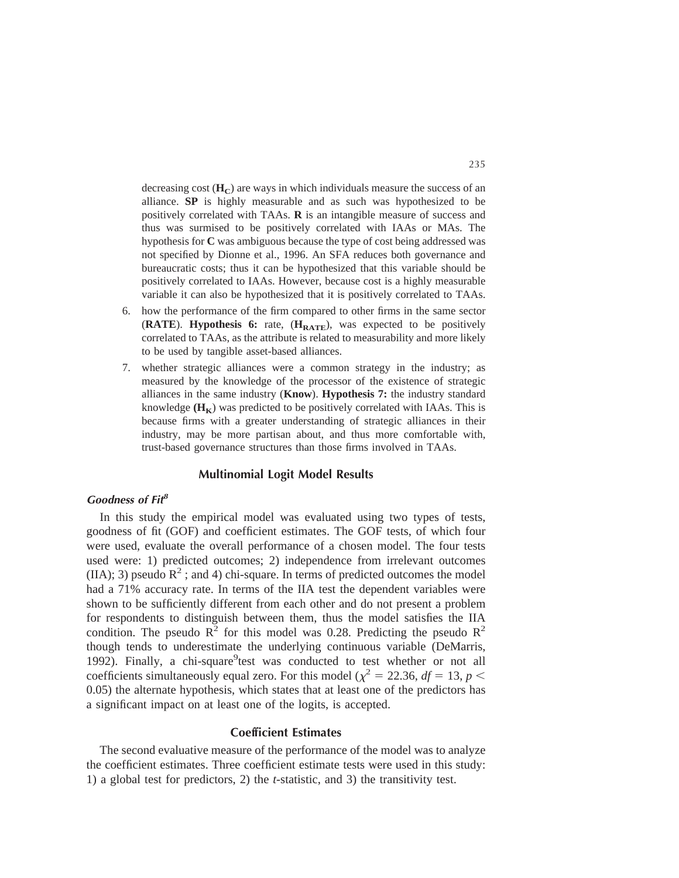decreasing cost  $(\mathbf{H}_{\mathbf{C}})$  are ways in which individuals measure the success of an alliance. **SP** is highly measurable and as such was hypothesized to be positively correlated with TAAs. **R** is an intangible measure of success and thus was surmised to be positively correlated with IAAs or MAs. The hypothesis for **C** was ambiguous because the type of cost being addressed was not specified by Dionne et al., 1996. An SFA reduces both governance and bureaucratic costs; thus it can be hypothesized that this variable should be positively correlated to IAAs. However, because cost is a highly measurable variable it can also be hypothesized that it is positively correlated to TAAs.

- 6. how the performance of the firm compared to other firms in the same sector (**RATE**). **Hypothesis 6:** rate,  $(H_{\text{RATE}})$ , was expected to be positively correlated to TAAs, as the attribute is related to measurability and more likely to be used by tangible asset-based alliances.
- 7. whether strategic alliances were a common strategy in the industry; as measured by the knowledge of the processor of the existence of strategic alliances in the same industry (**Know**). **Hypothesis 7:** the industry standard knowledge  $(H<sub>K</sub>)$  was predicted to be positively correlated with IAAs. This is because firms with a greater understanding of strategic alliances in their industry, may be more partisan about, and thus more comfortable with, trust-based governance structures than those firms involved in TAAs.

# **Multinomial Logit Model Results**

# **Goodness of Fit8**

In this study the empirical model was evaluated using two types of tests, goodness of fit (GOF) and coefficient estimates. The GOF tests, of which four were used, evaluate the overall performance of a chosen model. The four tests used were: 1) predicted outcomes; 2) independence from irrelevant outcomes (IIA); 3) pseudo  $\mathbb{R}^2$ ; and 4) chi-square. In terms of predicted outcomes the model had a 71% accuracy rate. In terms of the IIA test the dependent variables were shown to be sufficiently different from each other and do not present a problem for respondents to distinguish between them, thus the model satisfies the IIA condition. The pseudo  $\mathbb{R}^2$  for this model was 0.28. Predicting the pseudo  $\mathbb{R}^2$ though tends to underestimate the underlying continuous variable (DeMarris, 1992). Finally, a chi-square<sup>9</sup>test was conducted to test whether or not all coefficients simultaneously equal zero. For this model ( $\chi^2 = 22.36$ , *df* = 13, *p* < 0.05) the alternate hypothesis, which states that at least one of the predictors has a significant impact on at least one of the logits, is accepted.

# **Coefficient Estimates**

The second evaluative measure of the performance of the model was to analyze the coefficient estimates. Three coefficient estimate tests were used in this study: 1) a global test for predictors, 2) the *t*-statistic, and 3) the transitivity test.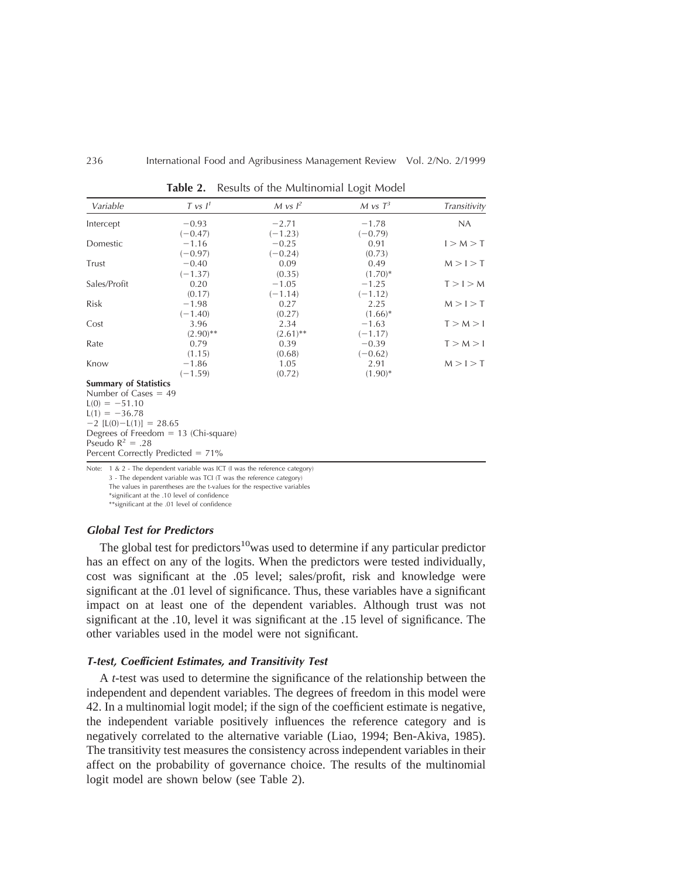| Variable                     | $T v s l^1$                            | M vs $I^2$  | M vs $T^3$ | Transitivity |
|------------------------------|----------------------------------------|-------------|------------|--------------|
| Intercept                    | $-0.93$                                | $-2.71$     | $-1.78$    | NA.          |
|                              | $(-0.47)$                              | $(-1.23)$   | $(-0.79)$  |              |
| Domestic                     | $-1.16$                                | $-0.25$     | 0.91       | 1 > M > T    |
|                              | $(-0.97)$                              | $(-0.24)$   | (0.73)     |              |
| Trust                        | $-0.40$                                | 0.09        | 0.49       | M > I > T    |
|                              | $(-1.37)$                              | (0.35)      | $(1.70)^*$ |              |
| Sales/Profit                 | 0.20                                   | $-1.05$     | $-1.25$    | T > I > M    |
|                              | (0.17)                                 | $(-1.14)$   | $(-1.12)$  |              |
| Risk                         | $-1.98$                                | 0.27        | 2.25       | M > I > T    |
|                              | $(-1.40)$                              | (0.27)      | $(1.66)^*$ |              |
| Cost                         | 3.96                                   | 2.34        | $-1.63$    | T > M > I    |
|                              | $(2.90)$ **                            | $(2.61)$ ** | $(-1.17)$  |              |
| Rate                         | 0.79                                   | 0.39        | $-0.39$    | T > M > 1    |
|                              | (1.15)                                 | (0.68)      | $(-0.62)$  |              |
| Know                         | $-1.86$                                | 1.05        | 2.91       | M > I > T    |
|                              | $(-1.59)$                              | (0.72)      | $(1.90)*$  |              |
| <b>Summary of Statistics</b> |                                        |             |            |              |
| Number of Cases $= 49$       |                                        |             |            |              |
| $L(0) = -51.10$              |                                        |             |            |              |
| $L(1) = -36.78$              |                                        |             |            |              |
| $-2$ [L(0)-L(1)] = 28.65     |                                        |             |            |              |
|                              | Degrees of Freedom $= 13$ (Chi-square) |             |            |              |
| Pseudo $R^2 = .28$           |                                        |             |            |              |
|                              | Percent Correctly Predicted = 71%      |             |            |              |
| <b><i>RESPECTATION</i></b>   |                                        |             |            |              |

**Table 2.** Results of the Multinomial Logit Model

Note: 1 & 2 - The dependent variable was ICT (I was the reference category) 3 - The dependent variable was TCI (T was the reference category) The values in parentheses are the t-values for the respective variables \*significant at the .10 level of confidence \*\*significant at the .01 level of confidence

#### **Global Test for Predictors**

The global test for predictors<sup>10</sup>was used to determine if any particular predictor has an effect on any of the logits. When the predictors were tested individually, cost was significant at the .05 level; sales/profit, risk and knowledge were significant at the .01 level of significance. Thus, these variables have a significant impact on at least one of the dependent variables. Although trust was not significant at the .10, level it was significant at the .15 level of significance. The other variables used in the model were not significant.

#### **T-test, Coefficient Estimates, and Transitivity Test**

A *t*-test was used to determine the significance of the relationship between the independent and dependent variables. The degrees of freedom in this model were 42. In a multinomial logit model; if the sign of the coefficient estimate is negative, the independent variable positively influences the reference category and is negatively correlated to the alternative variable (Liao, 1994; Ben-Akiva, 1985). The transitivity test measures the consistency across independent variables in their affect on the probability of governance choice. The results of the multinomial logit model are shown below (see Table 2).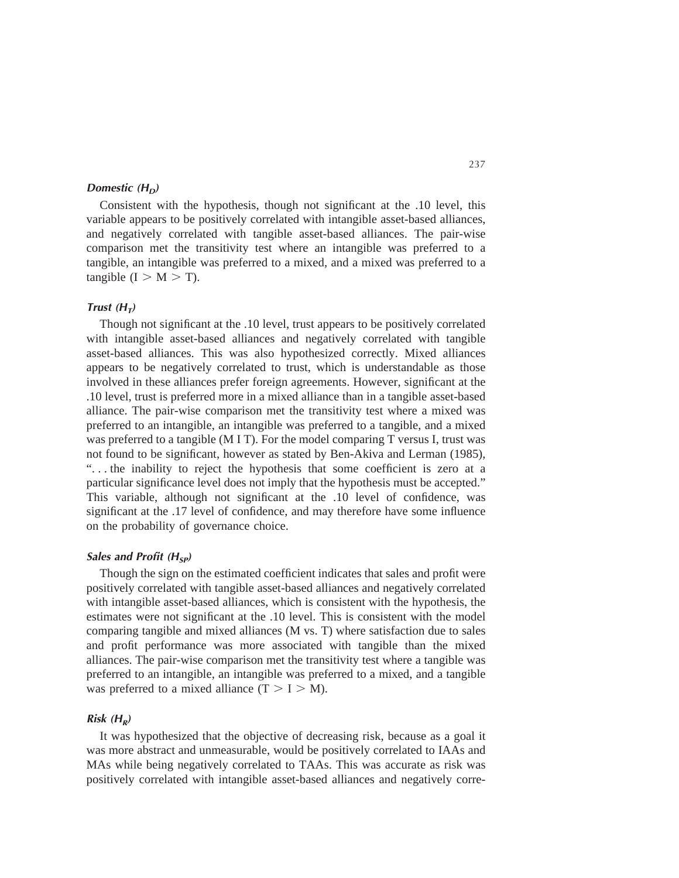#### **Domestic**  $(H_D)$

Consistent with the hypothesis, though not significant at the .10 level, this variable appears to be positively correlated with intangible asset-based alliances, and negatively correlated with tangible asset-based alliances. The pair-wise comparison met the transitivity test where an intangible was preferred to a tangible, an intangible was preferred to a mixed, and a mixed was preferred to a tangible  $(I > M > T)$ .

#### **Trust**  $(H_T)$

Though not significant at the .10 level, trust appears to be positively correlated with intangible asset-based alliances and negatively correlated with tangible asset-based alliances. This was also hypothesized correctly. Mixed alliances appears to be negatively correlated to trust, which is understandable as those involved in these alliances prefer foreign agreements. However, significant at the .10 level, trust is preferred more in a mixed alliance than in a tangible asset-based alliance. The pair-wise comparison met the transitivity test where a mixed was preferred to an intangible, an intangible was preferred to a tangible, and a mixed was preferred to a tangible  $(M I T)$ . For the model comparing T versus I, trust was not found to be significant, however as stated by Ben-Akiva and Lerman (1985), ". . . the inability to reject the hypothesis that some coefficient is zero at a particular significance level does not imply that the hypothesis must be accepted." This variable, although not significant at the .10 level of confidence, was significant at the .17 level of confidence, and may therefore have some influence on the probability of governance choice.

# **Sales** and Profit (H<sub>SP</sub>)

Though the sign on the estimated coefficient indicates that sales and profit were positively correlated with tangible asset-based alliances and negatively correlated with intangible asset-based alliances, which is consistent with the hypothesis, the estimates were not significant at the .10 level. This is consistent with the model comparing tangible and mixed alliances (M vs. T) where satisfaction due to sales and profit performance was more associated with tangible than the mixed alliances. The pair-wise comparison met the transitivity test where a tangible was preferred to an intangible, an intangible was preferred to a mixed, and a tangible was preferred to a mixed alliance  $(T > I > M)$ .

### $Risk$   $(H_p)$

It was hypothesized that the objective of decreasing risk, because as a goal it was more abstract and unmeasurable, would be positively correlated to IAAs and MAs while being negatively correlated to TAAs. This was accurate as risk was positively correlated with intangible asset-based alliances and negatively corre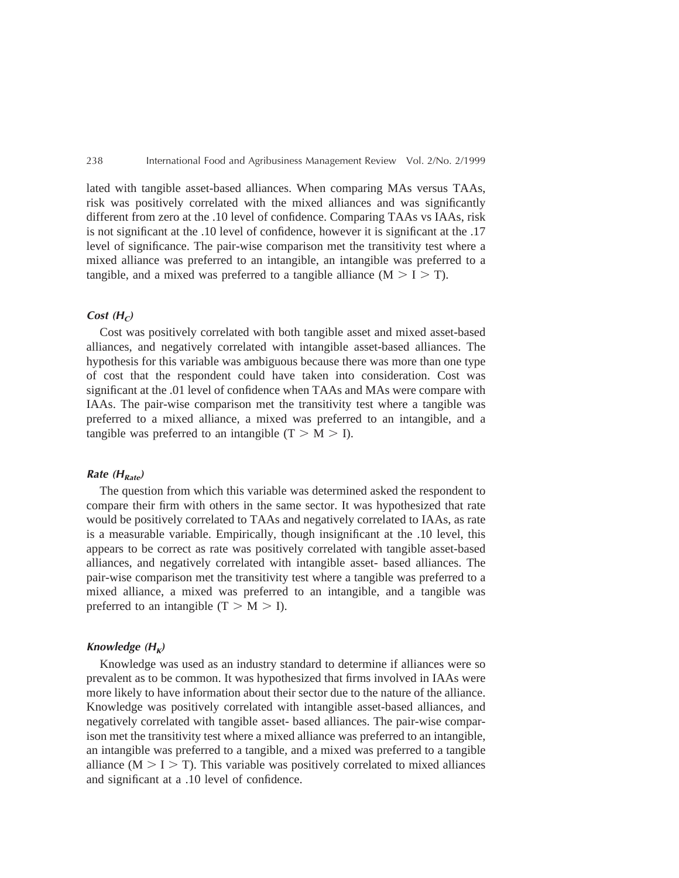lated with tangible asset-based alliances. When comparing MAs versus TAAs, risk was positively correlated with the mixed alliances and was significantly different from zero at the .10 level of confidence. Comparing TAAs vs IAAs, risk is not significant at the .10 level of confidence, however it is significant at the .17 level of significance. The pair-wise comparison met the transitivity test where a mixed alliance was preferred to an intangible, an intangible was preferred to a tangible, and a mixed was preferred to a tangible alliance  $(M > I > T)$ .

### $Cost(H_C)$

Cost was positively correlated with both tangible asset and mixed asset-based alliances, and negatively correlated with intangible asset-based alliances. The hypothesis for this variable was ambiguous because there was more than one type of cost that the respondent could have taken into consideration. Cost was significant at the .01 level of confidence when TAAs and MAs were compare with IAAs. The pair-wise comparison met the transitivity test where a tangible was preferred to a mixed alliance, a mixed was preferred to an intangible, and a tangible was preferred to an intangible  $(T > M > I)$ .

# $Rate (H<sub>Rate</sub>)$

The question from which this variable was determined asked the respondent to compare their firm with others in the same sector. It was hypothesized that rate would be positively correlated to TAAs and negatively correlated to IAAs, as rate is a measurable variable. Empirically, though insignificant at the .10 level, this appears to be correct as rate was positively correlated with tangible asset-based alliances, and negatively correlated with intangible asset- based alliances. The pair-wise comparison met the transitivity test where a tangible was preferred to a mixed alliance, a mixed was preferred to an intangible, and a tangible was preferred to an intangible  $(T > M > I)$ .

### **Knowledge**  $(H_K)$

Knowledge was used as an industry standard to determine if alliances were so prevalent as to be common. It was hypothesized that firms involved in IAAs were more likely to have information about their sector due to the nature of the alliance. Knowledge was positively correlated with intangible asset-based alliances, and negatively correlated with tangible asset- based alliances. The pair-wise comparison met the transitivity test where a mixed alliance was preferred to an intangible, an intangible was preferred to a tangible, and a mixed was preferred to a tangible alliance ( $M > I > T$ ). This variable was positively correlated to mixed alliances and significant at a .10 level of confidence.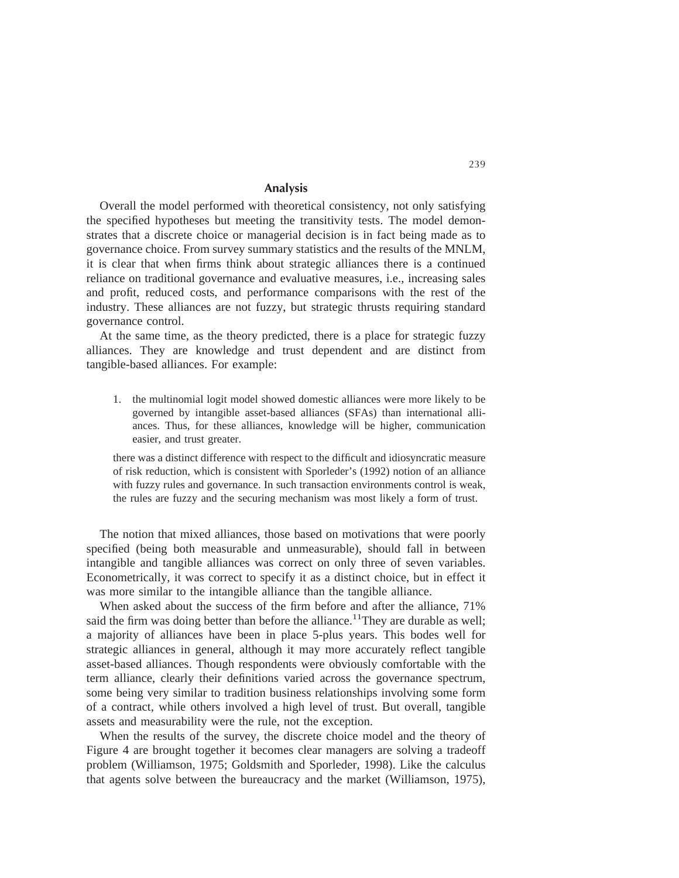# **Analysis**

Overall the model performed with theoretical consistency, not only satisfying the specified hypotheses but meeting the transitivity tests. The model demonstrates that a discrete choice or managerial decision is in fact being made as to governance choice. From survey summary statistics and the results of the MNLM, it is clear that when firms think about strategic alliances there is a continued reliance on traditional governance and evaluative measures, i.e., increasing sales and profit, reduced costs, and performance comparisons with the rest of the industry. These alliances are not fuzzy, but strategic thrusts requiring standard governance control.

At the same time, as the theory predicted, there is a place for strategic fuzzy alliances. They are knowledge and trust dependent and are distinct from tangible-based alliances. For example:

1. the multinomial logit model showed domestic alliances were more likely to be governed by intangible asset-based alliances (SFAs) than international alliances. Thus, for these alliances, knowledge will be higher, communication easier, and trust greater.

there was a distinct difference with respect to the difficult and idiosyncratic measure of risk reduction, which is consistent with Sporleder's (1992) notion of an alliance with fuzzy rules and governance. In such transaction environments control is weak, the rules are fuzzy and the securing mechanism was most likely a form of trust.

The notion that mixed alliances, those based on motivations that were poorly specified (being both measurable and unmeasurable), should fall in between intangible and tangible alliances was correct on only three of seven variables. Econometrically, it was correct to specify it as a distinct choice, but in effect it was more similar to the intangible alliance than the tangible alliance.

When asked about the success of the firm before and after the alliance, 71% said the firm was doing better than before the alliance.<sup>11</sup>They are durable as well; a majority of alliances have been in place 5-plus years. This bodes well for strategic alliances in general, although it may more accurately reflect tangible asset-based alliances. Though respondents were obviously comfortable with the term alliance, clearly their definitions varied across the governance spectrum, some being very similar to tradition business relationships involving some form of a contract, while others involved a high level of trust. But overall, tangible assets and measurability were the rule, not the exception.

When the results of the survey, the discrete choice model and the theory of Figure 4 are brought together it becomes clear managers are solving a tradeoff problem (Williamson, 1975; Goldsmith and Sporleder, 1998). Like the calculus that agents solve between the bureaucracy and the market (Williamson, 1975),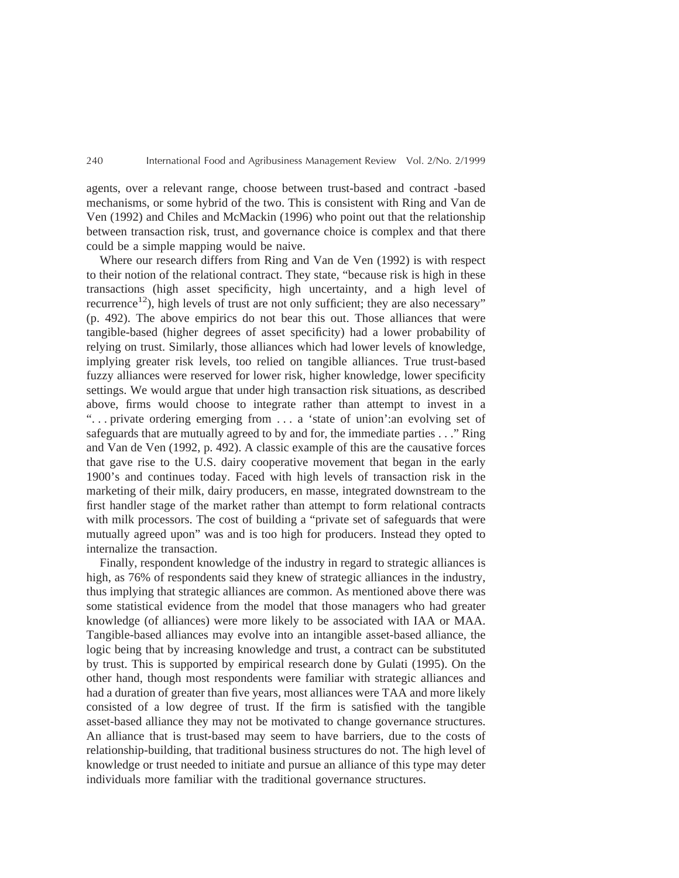agents, over a relevant range, choose between trust-based and contract -based mechanisms, or some hybrid of the two. This is consistent with Ring and Van de Ven (1992) and Chiles and McMackin (1996) who point out that the relationship between transaction risk, trust, and governance choice is complex and that there could be a simple mapping would be naive.

Where our research differs from Ring and Van de Ven (1992) is with respect to their notion of the relational contract. They state, "because risk is high in these transactions (high asset specificity, high uncertainty, and a high level of recurrence<sup>12</sup>), high levels of trust are not only sufficient; they are also necessary" (p. 492). The above empirics do not bear this out. Those alliances that were tangible-based (higher degrees of asset specificity) had a lower probability of relying on trust. Similarly, those alliances which had lower levels of knowledge, implying greater risk levels, too relied on tangible alliances. True trust-based fuzzy alliances were reserved for lower risk, higher knowledge, lower specificity settings. We would argue that under high transaction risk situations, as described above, firms would choose to integrate rather than attempt to invest in a "... private ordering emerging from ... a 'state of union': an evolving set of safeguards that are mutually agreed to by and for, the immediate parties . . ." Ring and Van de Ven (1992, p. 492). A classic example of this are the causative forces that gave rise to the U.S. dairy cooperative movement that began in the early 1900's and continues today. Faced with high levels of transaction risk in the marketing of their milk, dairy producers, en masse, integrated downstream to the first handler stage of the market rather than attempt to form relational contracts with milk processors. The cost of building a "private set of safeguards that were mutually agreed upon" was and is too high for producers. Instead they opted to internalize the transaction.

Finally, respondent knowledge of the industry in regard to strategic alliances is high, as 76% of respondents said they knew of strategic alliances in the industry, thus implying that strategic alliances are common. As mentioned above there was some statistical evidence from the model that those managers who had greater knowledge (of alliances) were more likely to be associated with IAA or MAA. Tangible-based alliances may evolve into an intangible asset-based alliance, the logic being that by increasing knowledge and trust, a contract can be substituted by trust. This is supported by empirical research done by Gulati (1995). On the other hand, though most respondents were familiar with strategic alliances and had a duration of greater than five years, most alliances were TAA and more likely consisted of a low degree of trust. If the firm is satisfied with the tangible asset-based alliance they may not be motivated to change governance structures. An alliance that is trust-based may seem to have barriers, due to the costs of relationship-building, that traditional business structures do not. The high level of knowledge or trust needed to initiate and pursue an alliance of this type may deter individuals more familiar with the traditional governance structures.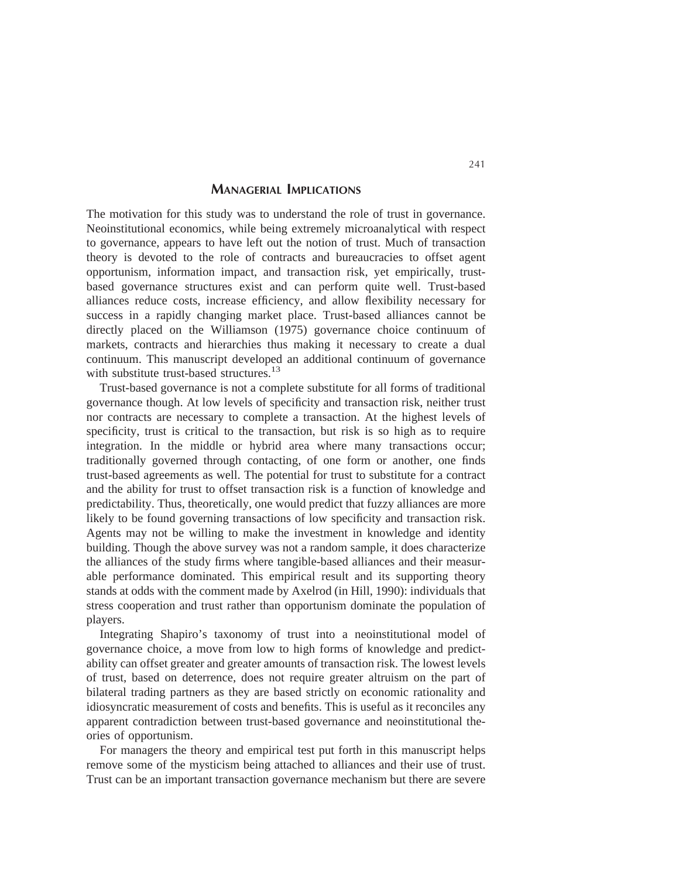# **MANAGERIAL IMPLICATIONS**

The motivation for this study was to understand the role of trust in governance. Neoinstitutional economics, while being extremely microanalytical with respect to governance, appears to have left out the notion of trust. Much of transaction theory is devoted to the role of contracts and bureaucracies to offset agent opportunism, information impact, and transaction risk, yet empirically, trustbased governance structures exist and can perform quite well. Trust-based alliances reduce costs, increase efficiency, and allow flexibility necessary for success in a rapidly changing market place. Trust-based alliances cannot be directly placed on the Williamson (1975) governance choice continuum of markets, contracts and hierarchies thus making it necessary to create a dual continuum. This manuscript developed an additional continuum of governance with substitute trust-based structures.<sup>13</sup>

Trust-based governance is not a complete substitute for all forms of traditional governance though. At low levels of specificity and transaction risk, neither trust nor contracts are necessary to complete a transaction. At the highest levels of specificity, trust is critical to the transaction, but risk is so high as to require integration. In the middle or hybrid area where many transactions occur; traditionally governed through contacting, of one form or another, one finds trust-based agreements as well. The potential for trust to substitute for a contract and the ability for trust to offset transaction risk is a function of knowledge and predictability. Thus, theoretically, one would predict that fuzzy alliances are more likely to be found governing transactions of low specificity and transaction risk. Agents may not be willing to make the investment in knowledge and identity building. Though the above survey was not a random sample, it does characterize the alliances of the study firms where tangible-based alliances and their measurable performance dominated. This empirical result and its supporting theory stands at odds with the comment made by Axelrod (in Hill, 1990): individuals that stress cooperation and trust rather than opportunism dominate the population of players.

Integrating Shapiro's taxonomy of trust into a neoinstitutional model of governance choice, a move from low to high forms of knowledge and predictability can offset greater and greater amounts of transaction risk. The lowest levels of trust, based on deterrence, does not require greater altruism on the part of bilateral trading partners as they are based strictly on economic rationality and idiosyncratic measurement of costs and benefits. This is useful as it reconciles any apparent contradiction between trust-based governance and neoinstitutional theories of opportunism.

For managers the theory and empirical test put forth in this manuscript helps remove some of the mysticism being attached to alliances and their use of trust. Trust can be an important transaction governance mechanism but there are severe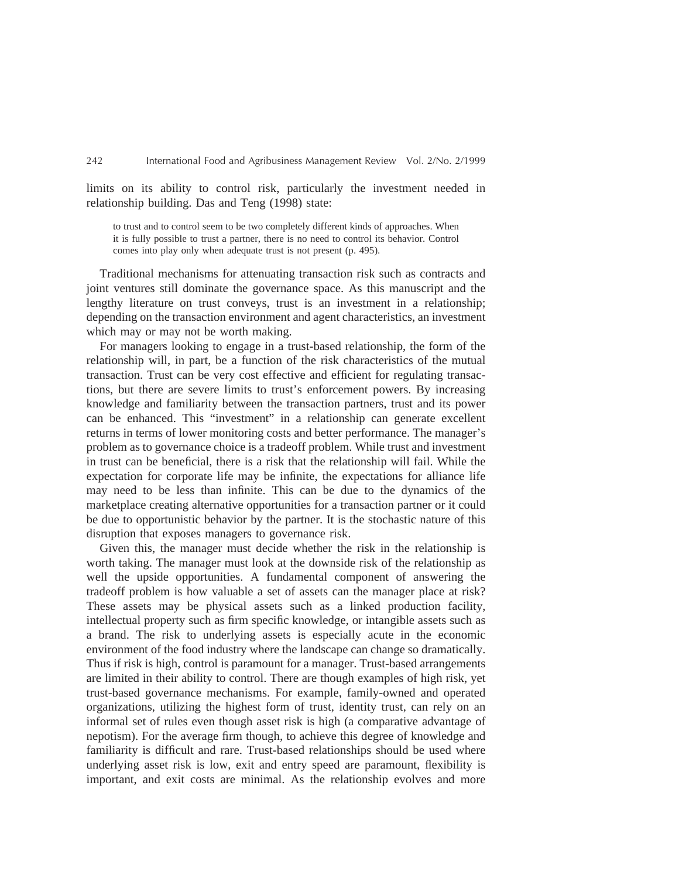limits on its ability to control risk, particularly the investment needed in relationship building. Das and Teng (1998) state:

to trust and to control seem to be two completely different kinds of approaches. When it is fully possible to trust a partner, there is no need to control its behavior. Control comes into play only when adequate trust is not present (p. 495).

Traditional mechanisms for attenuating transaction risk such as contracts and joint ventures still dominate the governance space. As this manuscript and the lengthy literature on trust conveys, trust is an investment in a relationship; depending on the transaction environment and agent characteristics, an investment which may or may not be worth making.

For managers looking to engage in a trust-based relationship, the form of the relationship will, in part, be a function of the risk characteristics of the mutual transaction. Trust can be very cost effective and efficient for regulating transactions, but there are severe limits to trust's enforcement powers. By increasing knowledge and familiarity between the transaction partners, trust and its power can be enhanced. This "investment" in a relationship can generate excellent returns in terms of lower monitoring costs and better performance. The manager's problem as to governance choice is a tradeoff problem. While trust and investment in trust can be beneficial, there is a risk that the relationship will fail. While the expectation for corporate life may be infinite, the expectations for alliance life may need to be less than infinite. This can be due to the dynamics of the marketplace creating alternative opportunities for a transaction partner or it could be due to opportunistic behavior by the partner. It is the stochastic nature of this disruption that exposes managers to governance risk.

Given this, the manager must decide whether the risk in the relationship is worth taking. The manager must look at the downside risk of the relationship as well the upside opportunities. A fundamental component of answering the tradeoff problem is how valuable a set of assets can the manager place at risk? These assets may be physical assets such as a linked production facility, intellectual property such as firm specific knowledge, or intangible assets such as a brand. The risk to underlying assets is especially acute in the economic environment of the food industry where the landscape can change so dramatically. Thus if risk is high, control is paramount for a manager. Trust-based arrangements are limited in their ability to control. There are though examples of high risk, yet trust-based governance mechanisms. For example, family-owned and operated organizations, utilizing the highest form of trust, identity trust, can rely on an informal set of rules even though asset risk is high (a comparative advantage of nepotism). For the average firm though, to achieve this degree of knowledge and familiarity is difficult and rare. Trust-based relationships should be used where underlying asset risk is low, exit and entry speed are paramount, flexibility is important, and exit costs are minimal. As the relationship evolves and more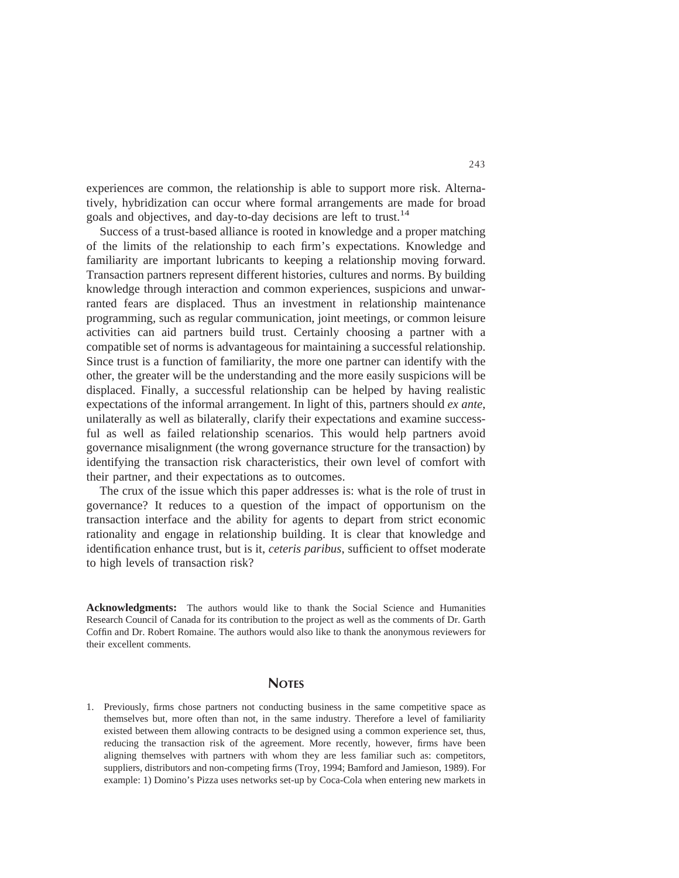experiences are common, the relationship is able to support more risk. Alternatively, hybridization can occur where formal arrangements are made for broad goals and objectives, and day-to-day decisions are left to trust.<sup>14</sup>

Success of a trust-based alliance is rooted in knowledge and a proper matching of the limits of the relationship to each firm's expectations. Knowledge and familiarity are important lubricants to keeping a relationship moving forward. Transaction partners represent different histories, cultures and norms. By building knowledge through interaction and common experiences, suspicions and unwarranted fears are displaced. Thus an investment in relationship maintenance programming, such as regular communication, joint meetings, or common leisure activities can aid partners build trust. Certainly choosing a partner with a compatible set of norms is advantageous for maintaining a successful relationship. Since trust is a function of familiarity, the more one partner can identify with the other, the greater will be the understanding and the more easily suspicions will be displaced. Finally, a successful relationship can be helped by having realistic expectations of the informal arrangement. In light of this, partners should *ex ante*, unilaterally as well as bilaterally, clarify their expectations and examine successful as well as failed relationship scenarios. This would help partners avoid governance misalignment (the wrong governance structure for the transaction) by identifying the transaction risk characteristics, their own level of comfort with their partner, and their expectations as to outcomes.

The crux of the issue which this paper addresses is: what is the role of trust in governance? It reduces to a question of the impact of opportunism on the transaction interface and the ability for agents to depart from strict economic rationality and engage in relationship building. It is clear that knowledge and identification enhance trust, but is it, *ceteris paribus*, sufficient to offset moderate to high levels of transaction risk?

**Acknowledgments:** The authors would like to thank the Social Science and Humanities Research Council of Canada for its contribution to the project as well as the comments of Dr. Garth Coffin and Dr. Robert Romaine. The authors would also like to thank the anonymous reviewers for their excellent comments.

# **NOTES**

1. Previously, firms chose partners not conducting business in the same competitive space as themselves but, more often than not, in the same industry. Therefore a level of familiarity existed between them allowing contracts to be designed using a common experience set, thus, reducing the transaction risk of the agreement. More recently, however, firms have been aligning themselves with partners with whom they are less familiar such as: competitors, suppliers, distributors and non-competing firms (Troy, 1994; Bamford and Jamieson, 1989). For example: 1) Domino's Pizza uses networks set-up by Coca-Cola when entering new markets in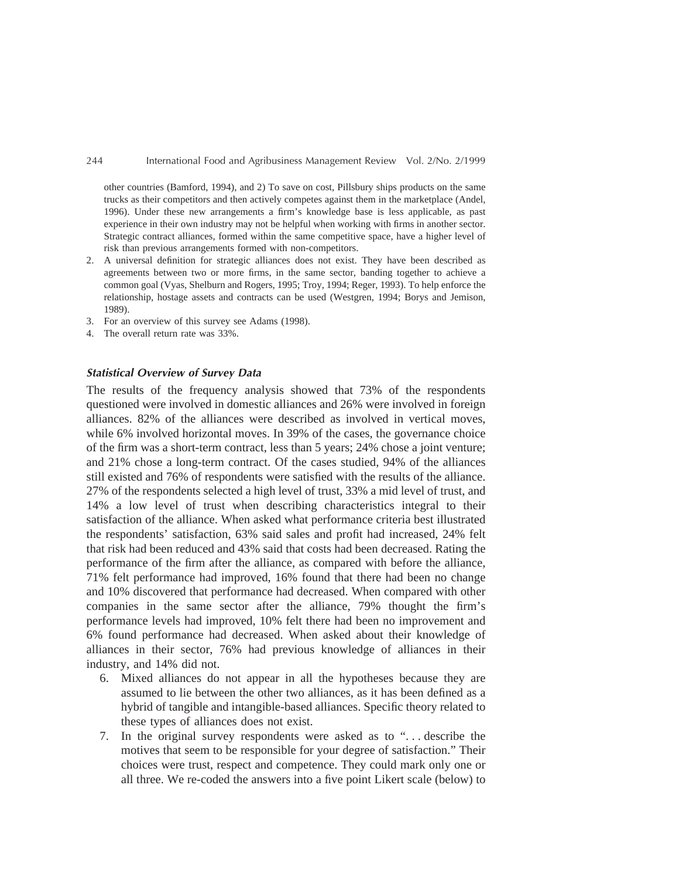other countries (Bamford, 1994), and 2) To save on cost, Pillsbury ships products on the same trucks as their competitors and then actively competes against them in the marketplace (Andel, 1996). Under these new arrangements a firm's knowledge base is less applicable, as past experience in their own industry may not be helpful when working with firms in another sector. Strategic contract alliances, formed within the same competitive space, have a higher level of risk than previous arrangements formed with non-competitors.

- 2. A universal definition for strategic alliances does not exist. They have been described as agreements between two or more firms, in the same sector, banding together to achieve a common goal (Vyas, Shelburn and Rogers, 1995; Troy, 1994; Reger, 1993). To help enforce the relationship, hostage assets and contracts can be used (Westgren, 1994; Borys and Jemison, 1989).
- 3. For an overview of this survey see Adams (1998).
- 4. The overall return rate was 33%.

# **Statistical Overview of Survey Data**

The results of the frequency analysis showed that 73% of the respondents questioned were involved in domestic alliances and 26% were involved in foreign alliances. 82% of the alliances were described as involved in vertical moves, while 6% involved horizontal moves. In 39% of the cases, the governance choice of the firm was a short-term contract, less than 5 years; 24% chose a joint venture; and 21% chose a long-term contract. Of the cases studied, 94% of the alliances still existed and 76% of respondents were satisfied with the results of the alliance. 27% of the respondents selected a high level of trust, 33% a mid level of trust, and 14% a low level of trust when describing characteristics integral to their satisfaction of the alliance. When asked what performance criteria best illustrated the respondents' satisfaction, 63% said sales and profit had increased, 24% felt that risk had been reduced and 43% said that costs had been decreased. Rating the performance of the firm after the alliance, as compared with before the alliance, 71% felt performance had improved, 16% found that there had been no change and 10% discovered that performance had decreased. When compared with other companies in the same sector after the alliance, 79% thought the firm's performance levels had improved, 10% felt there had been no improvement and 6% found performance had decreased. When asked about their knowledge of alliances in their sector, 76% had previous knowledge of alliances in their industry, and 14% did not.

- 6. Mixed alliances do not appear in all the hypotheses because they are assumed to lie between the other two alliances, as it has been defined as a hybrid of tangible and intangible-based alliances. Specific theory related to these types of alliances does not exist.
- 7. In the original survey respondents were asked as to ". . . describe the motives that seem to be responsible for your degree of satisfaction." Their choices were trust, respect and competence. They could mark only one or all three. We re-coded the answers into a five point Likert scale (below) to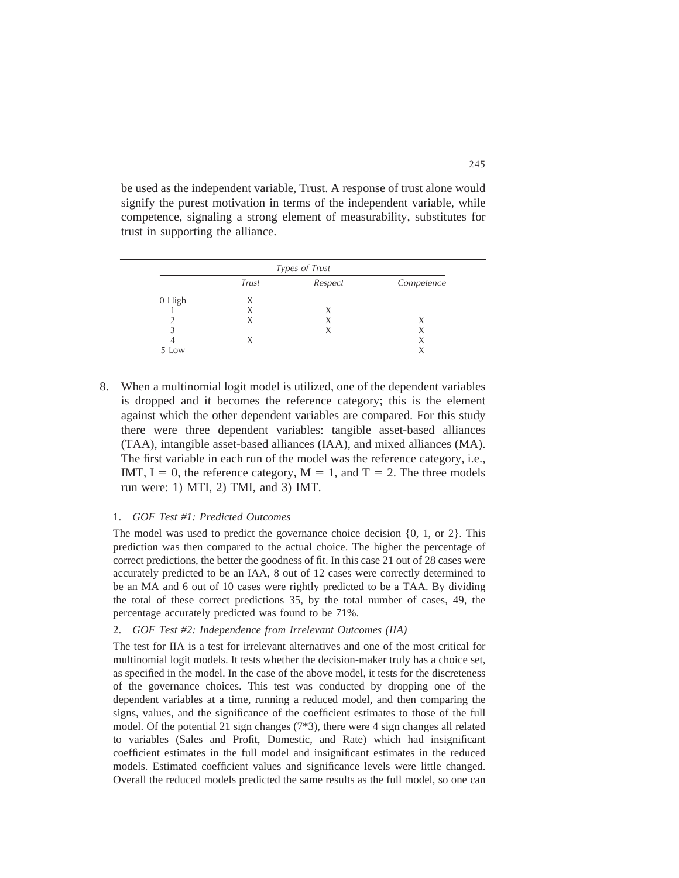be used as the independent variable, Trust. A response of trust alone would signify the purest motivation in terms of the independent variable, while competence, signaling a strong element of measurability, substitutes for trust in supporting the alliance.

| Types of Trust |       |         |            |  |
|----------------|-------|---------|------------|--|
|                | Trust | Respect | Competence |  |
| 0-High         |       |         |            |  |
|                |       | ν       |            |  |
|                |       |         |            |  |
|                |       | X       |            |  |
|                | Χ     |         |            |  |
| 5-Low          |       |         |            |  |

8. When a multinomial logit model is utilized, one of the dependent variables is dropped and it becomes the reference category; this is the element against which the other dependent variables are compared. For this study there were three dependent variables: tangible asset-based alliances (TAA), intangible asset-based alliances (IAA), and mixed alliances (MA). The first variable in each run of the model was the reference category, i.e., IMT, I = 0, the reference category,  $M = 1$ , and T = 2. The three models run were: 1) MTI, 2) TMI, and 3) IMT.

# 1. *GOF Test #1: Predicted Outcomes*

The model was used to predict the governance choice decision  $\{0, 1, \text{ or } 2\}$ . This prediction was then compared to the actual choice. The higher the percentage of correct predictions, the better the goodness of fit. In this case 21 out of 28 cases were accurately predicted to be an IAA, 8 out of 12 cases were correctly determined to be an MA and 6 out of 10 cases were rightly predicted to be a TAA. By dividing the total of these correct predictions 35, by the total number of cases, 49, the percentage accurately predicted was found to be 71%.

# 2. *GOF Test #2: Independence from Irrelevant Outcomes (IIA)*

The test for IIA is a test for irrelevant alternatives and one of the most critical for multinomial logit models. It tests whether the decision-maker truly has a choice set, as specified in the model. In the case of the above model, it tests for the discreteness of the governance choices. This test was conducted by dropping one of the dependent variables at a time, running a reduced model, and then comparing the signs, values, and the significance of the coefficient estimates to those of the full model. Of the potential 21 sign changes (7\*3), there were 4 sign changes all related to variables (Sales and Profit, Domestic, and Rate) which had insignificant coefficient estimates in the full model and insignificant estimates in the reduced models. Estimated coefficient values and significance levels were little changed. Overall the reduced models predicted the same results as the full model, so one can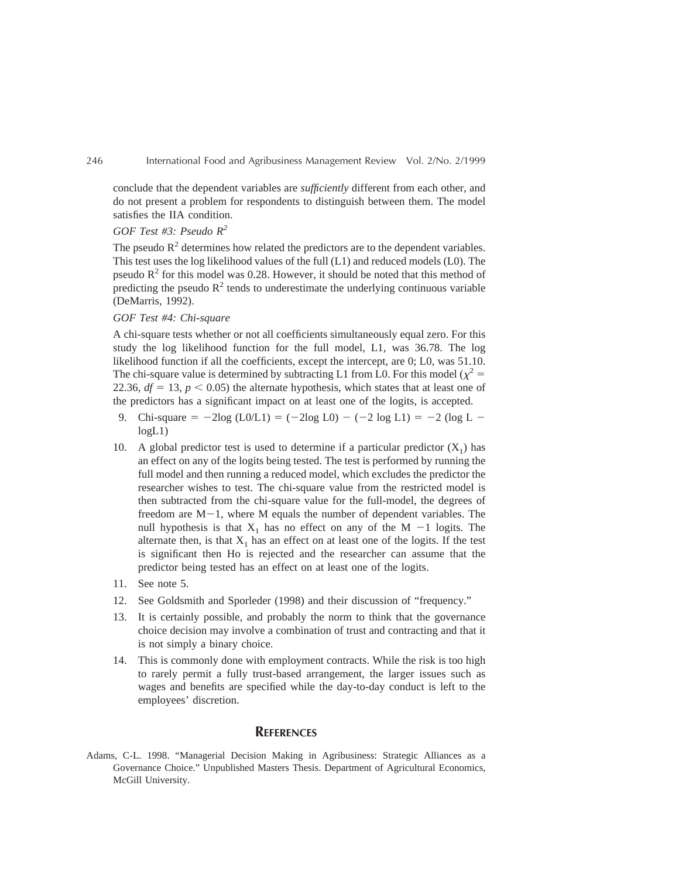conclude that the dependent variables are *sufficiently* different from each other, and do not present a problem for respondents to distinguish between them. The model satisfies the IIA condition.

# *GOF Test #3: Pseudo R2*

The pseudo  $R^2$  determines how related the predictors are to the dependent variables. This test uses the log likelihood values of the full (L1) and reduced models (L0). The pseudo  $R^2$  for this model was 0.28. However, it should be noted that this method of predicting the pseudo  $R^2$  tends to underestimate the underlying continuous variable (DeMarris, 1992).

#### *GOF Test #4: Chi-square*

A chi-square tests whether or not all coefficients simultaneously equal zero. For this study the log likelihood function for the full model, L1, was 36.78. The log likelihood function if all the coefficients, except the intercept, are 0; L0, was 51.10. The chi-square value is determined by subtracting L1 from L0. For this model ( $\chi^2$  = 22.36,  $df = 13$ ,  $p < 0.05$ ) the alternate hypothesis, which states that at least one of the predictors has a significant impact on at least one of the logits, is accepted.

- 9. Chi-square =  $-2\log (L0/L1) = (-2\log L0) (-2\log L1) = -2(\log L$  $logL1$ )
- 10. A global predictor test is used to determine if a particular predictor  $(X_1)$  has an effect on any of the logits being tested. The test is performed by running the full model and then running a reduced model, which excludes the predictor the researcher wishes to test. The chi-square value from the restricted model is then subtracted from the chi-square value for the full-model, the degrees of freedom are  $M-1$ , where M equals the number of dependent variables. The null hypothesis is that  $X_1$  has no effect on any of the M -1 logits. The alternate then, is that  $X_1$  has an effect on at least one of the logits. If the test is significant then Ho is rejected and the researcher can assume that the predictor being tested has an effect on at least one of the logits.
- 11. See note 5.
- 12. See Goldsmith and Sporleder (1998) and their discussion of "frequency."
- 13. It is certainly possible, and probably the norm to think that the governance choice decision may involve a combination of trust and contracting and that it is not simply a binary choice.
- 14. This is commonly done with employment contracts. While the risk is too high to rarely permit a fully trust-based arrangement, the larger issues such as wages and benefits are specified while the day-to-day conduct is left to the employees' discretion.

# **REFERENCES**

Adams, C-L. 1998. "Managerial Decision Making in Agribusiness: Strategic Alliances as a Governance Choice." Unpublished Masters Thesis. Department of Agricultural Economics, McGill University.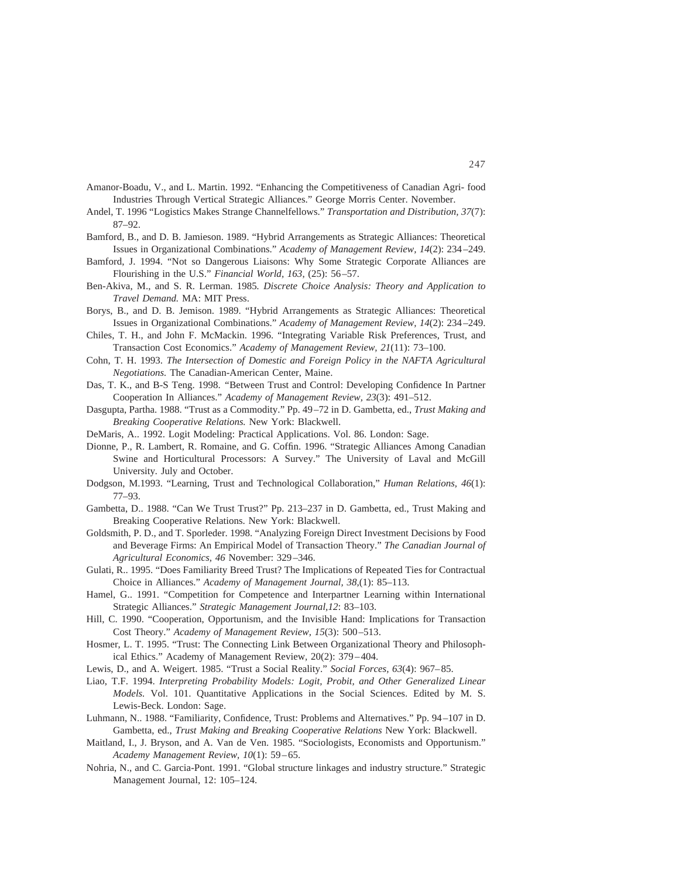- Amanor-Boadu, V., and L. Martin. 1992. "Enhancing the Competitiveness of Canadian Agri- food Industries Through Vertical Strategic Alliances." George Morris Center. November.
- Andel, T. 1996 "Logistics Makes Strange Channelfellows." *Transportation and Distribution, 37*(7): 87–92.
- Bamford, B., and D. B. Jamieson. 1989. "Hybrid Arrangements as Strategic Alliances: Theoretical Issues in Organizational Combinations." *Academy of Management Review, 14*(2): 234–249.
- Bamford, J. 1994. "Not so Dangerous Liaisons: Why Some Strategic Corporate Alliances are Flourishing in the U.S." *Financial World, 163*, (25): 56–57.
- Ben-Akiva, M., and S. R. Lerman. 1985*. Discrete Choice Analysis: Theory and Application to Travel Demand.* MA: MIT Press.
- Borys, B., and D. B. Jemison. 1989. "Hybrid Arrangements as Strategic Alliances: Theoretical Issues in Organizational Combinations." *Academy of Management Review, 14*(2): 234–249.
- Chiles, T. H., and John F. McMackin. 1996. "Integrating Variable Risk Preferences, Trust, and Transaction Cost Economics." *Academy of Management Review, 21*(11): 73–100.
- Cohn, T. H. 1993. *The Intersection of Domestic and Foreign Policy in the NAFTA Agricultural Negotiations.* The Canadian-American Center, Maine.
- Das, T. K., and B-S Teng. 1998. *"*Between Trust and Control: Developing Confidence In Partner Cooperation In Alliances." *Academy of Management Review, 23*(3): 491–512.
- Dasgupta, Partha. 1988. "Trust as a Commodity." Pp. 49–72 in D. Gambetta, ed., *Trust Making and Breaking Cooperative Relations.* New York: Blackwell.
- DeMaris, A.. 1992. Logit Modeling: Practical Applications. Vol. 86. London: Sage.
- Dionne, P., R. Lambert, R. Romaine, and G. Coffin. 1996. "Strategic Alliances Among Canadian Swine and Horticultural Processors: A Survey." The University of Laval and McGill University*.* July and October.
- Dodgson, M.1993. "Learning, Trust and Technological Collaboration," *Human Relations, 46*(1): 77–93.
- Gambetta, D.. 1988. "Can We Trust Trust?" Pp. 213–237 in D. Gambetta, ed., Trust Making and Breaking Cooperative Relations. New York: Blackwell.
- Goldsmith, P. D., and T. Sporleder. 1998. "Analyzing Foreign Direct Investment Decisions by Food and Beverage Firms: An Empirical Model of Transaction Theory." *The Canadian Journal of Agricultural Economics, 46* November: 329–346.
- Gulati, R.. 1995. "Does Familiarity Breed Trust? The Implications of Repeated Ties for Contractual Choice in Alliances." *Academy of Management Journal, 38,*(1): 85–113.
- Hamel, G.. 1991. "Competition for Competence and Interpartner Learning within International Strategic Alliances." *Strategic Management Journal,12*: 83–103.
- Hill, C. 1990. "Cooperation, Opportunism, and the Invisible Hand: Implications for Transaction Cost Theory." *Academy of Management Review, 15*(3): 500–513.
- Hosmer, L. T. 1995. "Trust: The Connecting Link Between Organizational Theory and Philosophical Ethics." Academy of Management Review*,* 20(2): 379–404.
- Lewis, D., and A. Weigert. 1985. "Trust a Social Reality." *Social Forces, 63*(4): 967–85.
- Liao, T.F. 1994. *Interpreting Probability Models: Logit, Probit, and Other Generalized Linear Models.* Vol. 101. Quantitative Applications in the Social Sciences. Edited by M. S. Lewis-Beck. London: Sage.
- Luhmann, N.. 1988. "Familiarity, Confidence, Trust: Problems and Alternatives." Pp. 94–107 in D. Gambetta, ed., *Trust Making and Breaking Cooperative Relations* New York: Blackwell.
- Maitland, I., J. Bryson, and A. Van de Ven. 1985. "Sociologists, Economists and Opportunism." *Academy Management Review, 10*(1): 59–65.
- Nohria, N., and C. Garcia-Pont. 1991. "Global structure linkages and industry structure." Strategic Management Journal, 12: 105–124.